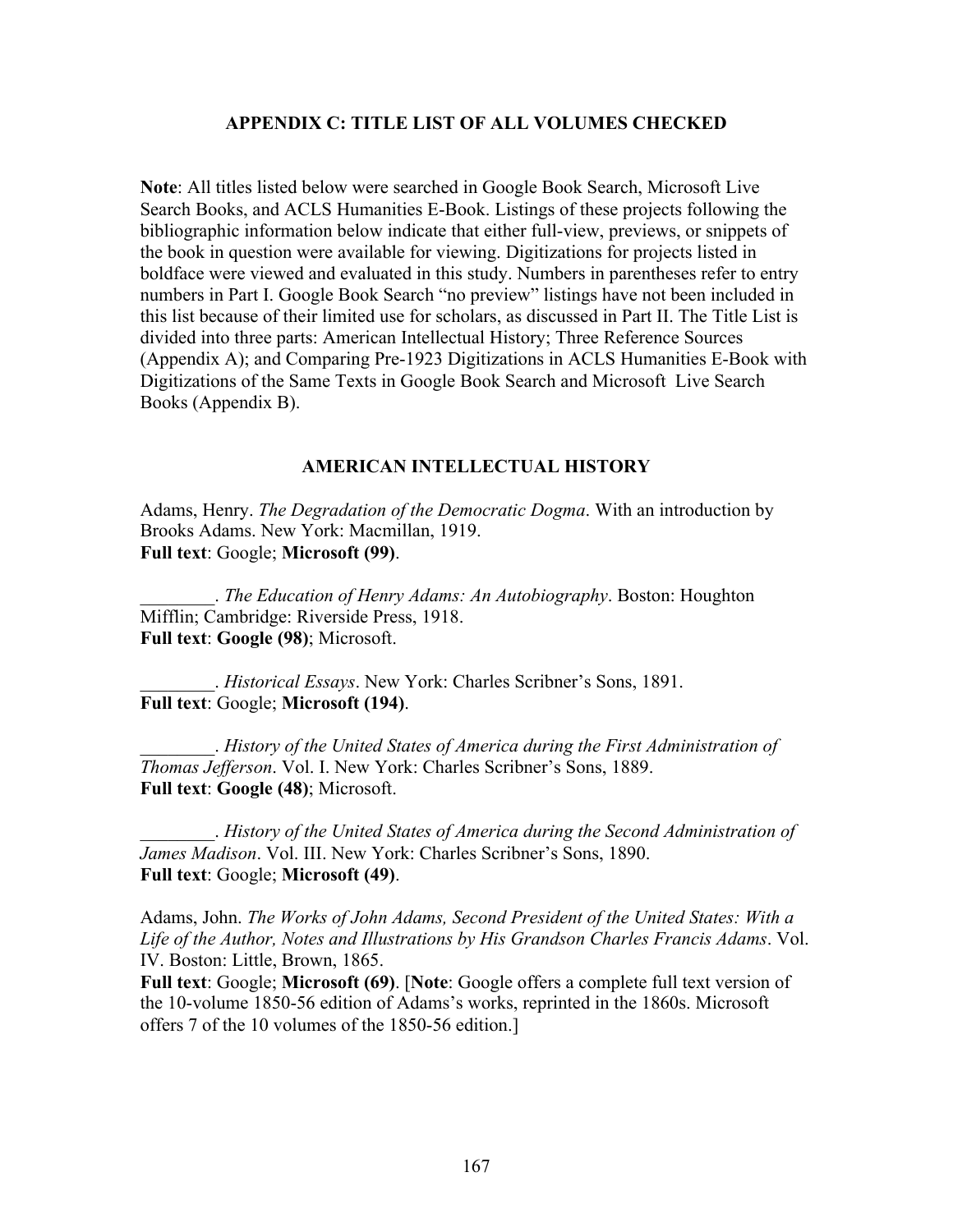# **APPENDIX C: TITLE LIST OF ALL VOLUMES CHECKED**

**Note**: All titles listed below were searched in Google Book Search, Microsoft Live Search Books, and ACLS Humanities E-Book. Listings of these projects following the bibliographic information below indicate that either full-view, previews, or snippets of the book in question were available for viewing. Digitizations for projects listed in boldface were viewed and evaluated in this study. Numbers in parentheses refer to entry numbers in Part I. Google Book Search "no preview" listings have not been included in this list because of their limited use for scholars, as discussed in Part II. The Title List is divided into three parts: American Intellectual History; Three Reference Sources (Appendix A); and Comparing Pre-1923 Digitizations in ACLS Humanities E-Book with Digitizations of the Same Texts in Google Book Search and Microsoft Live Search Books (Appendix B).

# **AMERICAN INTELLECTUAL HISTORY**

Adams, Henry. *The Degradation of the Democratic Dogma*. With an introduction by Brooks Adams. New York: Macmillan, 1919. **Full text**: Google; **Microsoft (99)**.

\_\_\_\_\_\_\_\_. *The Education of Henry Adams: An Autobiography*. Boston: Houghton Mifflin; Cambridge: Riverside Press, 1918. **Full text**: **Google (98)**; Microsoft.

\_\_\_\_\_\_\_\_. *Historical Essays*. New York: Charles Scribner's Sons, 1891. **Full text**: Google; **Microsoft (194)**.

\_\_\_\_\_\_\_\_. *History of the United States of America during the First Administration of Thomas Jefferson*. Vol. I. New York: Charles Scribner's Sons, 1889. **Full text**: **Google (48)**; Microsoft.

\_\_\_\_\_\_\_\_. *History of the United States of America during the Second Administration of James Madison*. Vol. III. New York: Charles Scribner's Sons, 1890. **Full text**: Google; **Microsoft (49)**.

Adams, John. *The Works of John Adams, Second President of the United States: With a Life of the Author, Notes and Illustrations by His Grandson Charles Francis Adams*. Vol. IV. Boston: Little, Brown, 1865.

**Full text**: Google; **Microsoft (69)**. [**Note**: Google offers a complete full text version of the 10-volume 1850-56 edition of Adams's works, reprinted in the 1860s. Microsoft offers 7 of the 10 volumes of the 1850-56 edition.]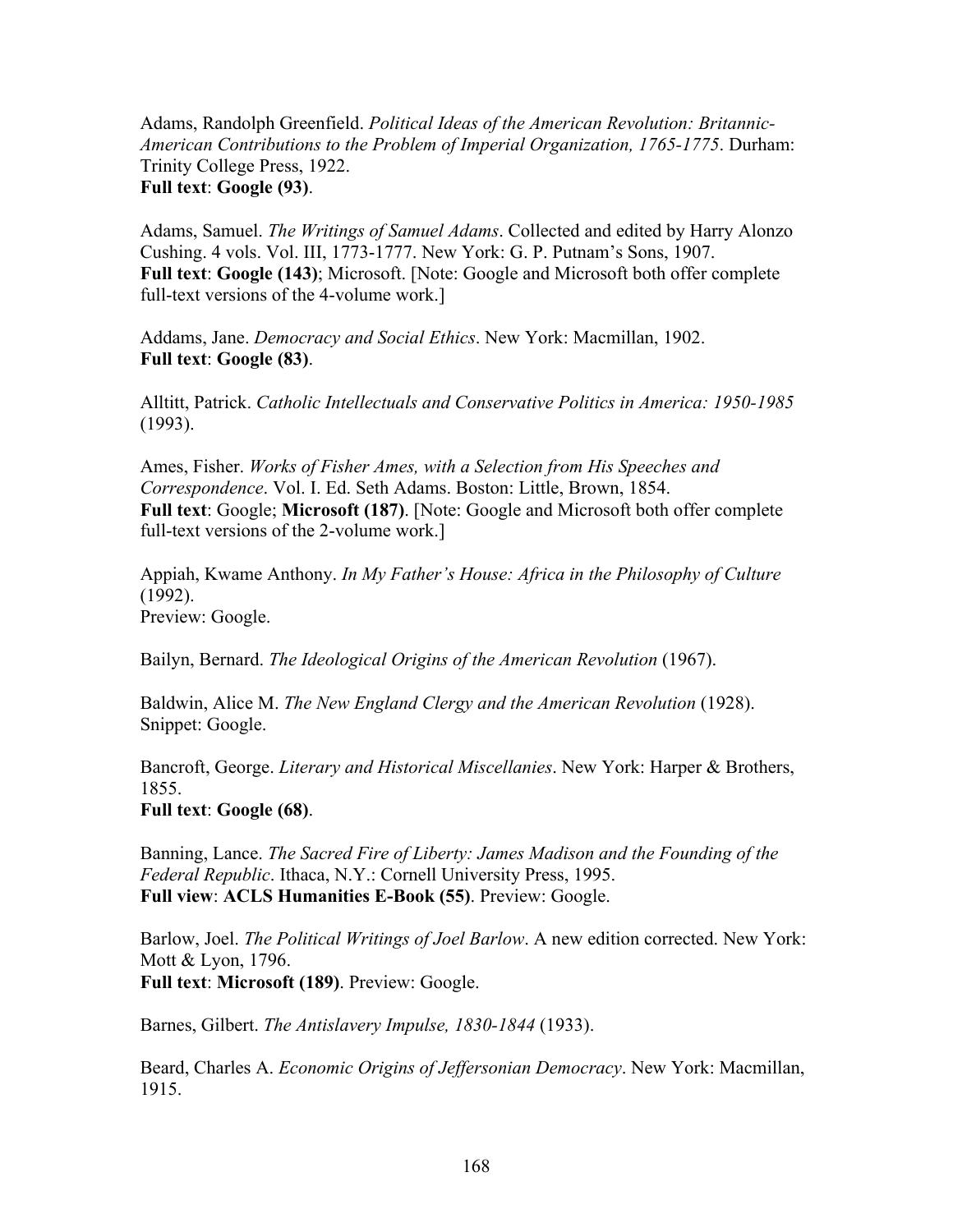Adams, Randolph Greenfield. *Political Ideas of the American Revolution: Britannic-American Contributions to the Problem of Imperial Organization, 1765-1775*. Durham: Trinity College Press, 1922. **Full text**: **Google (93)**.

Adams, Samuel. *The Writings of Samuel Adams*. Collected and edited by Harry Alonzo Cushing. 4 vols. Vol. III, 1773-1777. New York: G. P. Putnam's Sons, 1907. **Full text**: **Google (143)**; Microsoft. [Note: Google and Microsoft both offer complete full-text versions of the 4-volume work.]

Addams, Jane. *Democracy and Social Ethics*. New York: Macmillan, 1902. **Full text**: **Google (83)**.

Alltitt, Patrick. *Catholic Intellectuals and Conservative Politics in America: 1950-1985* (1993).

Ames, Fisher. *Works of Fisher Ames, with a Selection from His Speeches and Correspondence*. Vol. I. Ed. Seth Adams. Boston: Little, Brown, 1854. **Full text**: Google; **Microsoft (187)**. [Note: Google and Microsoft both offer complete full-text versions of the 2-volume work.]

Appiah, Kwame Anthony. *In My Father's House: Africa in the Philosophy of Culture* (1992). Preview: Google.

Bailyn, Bernard. *The Ideological Origins of the American Revolution* (1967).

Baldwin, Alice M. *The New England Clergy and the American Revolution* (1928). Snippet: Google.

Bancroft, George. *Literary and Historical Miscellanies*. New York: Harper & Brothers, 1855.

**Full text**: **Google (68)**.

Banning, Lance. *The Sacred Fire of Liberty: James Madison and the Founding of the Federal Republic*. Ithaca, N.Y.: Cornell University Press, 1995. **Full view**: **ACLS Humanities E-Book (55)**. Preview: Google.

Barlow, Joel. *The Political Writings of Joel Barlow*. A new edition corrected. New York: Mott & Lyon, 1796. **Full text**: **Microsoft (189)**. Preview: Google.

Barnes, Gilbert. *The Antislavery Impulse, 1830-1844* (1933).

Beard, Charles A. *Economic Origins of Jeffersonian Democracy*. New York: Macmillan, 1915.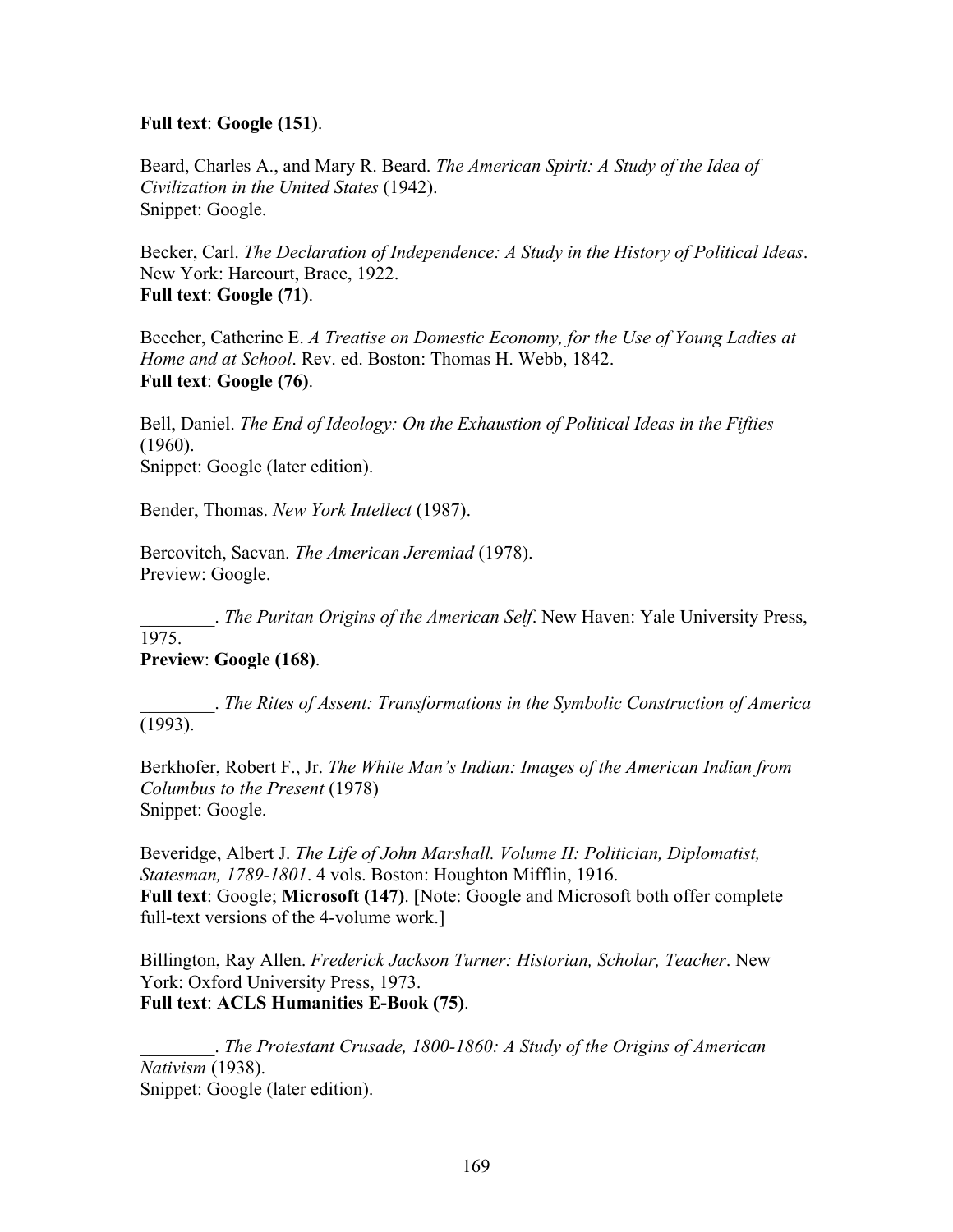# **Full text**: **Google (151)**.

Beard, Charles A., and Mary R. Beard. *The American Spirit: A Study of the Idea of Civilization in the United States* (1942). Snippet: Google.

Becker, Carl. *The Declaration of Independence: A Study in the History of Political Ideas*. New York: Harcourt, Brace, 1922. **Full text**: **Google (71)**.

Beecher, Catherine E. *A Treatise on Domestic Economy, for the Use of Young Ladies at Home and at School*. Rev. ed. Boston: Thomas H. Webb, 1842. **Full text**: **Google (76)**.

Bell, Daniel. *The End of Ideology: On the Exhaustion of Political Ideas in the Fifties* (1960). Snippet: Google (later edition).

Bender, Thomas. *New York Intellect* (1987).

Bercovitch, Sacvan. *The American Jeremiad* (1978). Preview: Google.

\_\_\_\_\_\_\_\_. *The Puritan Origins of the American Self*. New Haven: Yale University Press,

1975.

# **Preview**: **Google (168)**.

\_\_\_\_\_\_\_\_. *The Rites of Assent: Transformations in the Symbolic Construction of America* (1993).

Berkhofer, Robert F., Jr. *The White Man's Indian: Images of the American Indian from Columbus to the Present* (1978) Snippet: Google.

Beveridge, Albert J. *The Life of John Marshall. Volume II: Politician, Diplomatist, Statesman, 1789-1801*. 4 vols. Boston: Houghton Mifflin, 1916. **Full text**: Google; **Microsoft (147)**. [Note: Google and Microsoft both offer complete full-text versions of the 4-volume work.]

Billington, Ray Allen. *Frederick Jackson Turner: Historian, Scholar, Teacher*. New York: Oxford University Press, 1973. **Full text**: **ACLS Humanities E-Book (75)**.

\_\_\_\_\_\_\_\_. *The Protestant Crusade, 1800-1860: A Study of the Origins of American Nativism* (1938). Snippet: Google (later edition).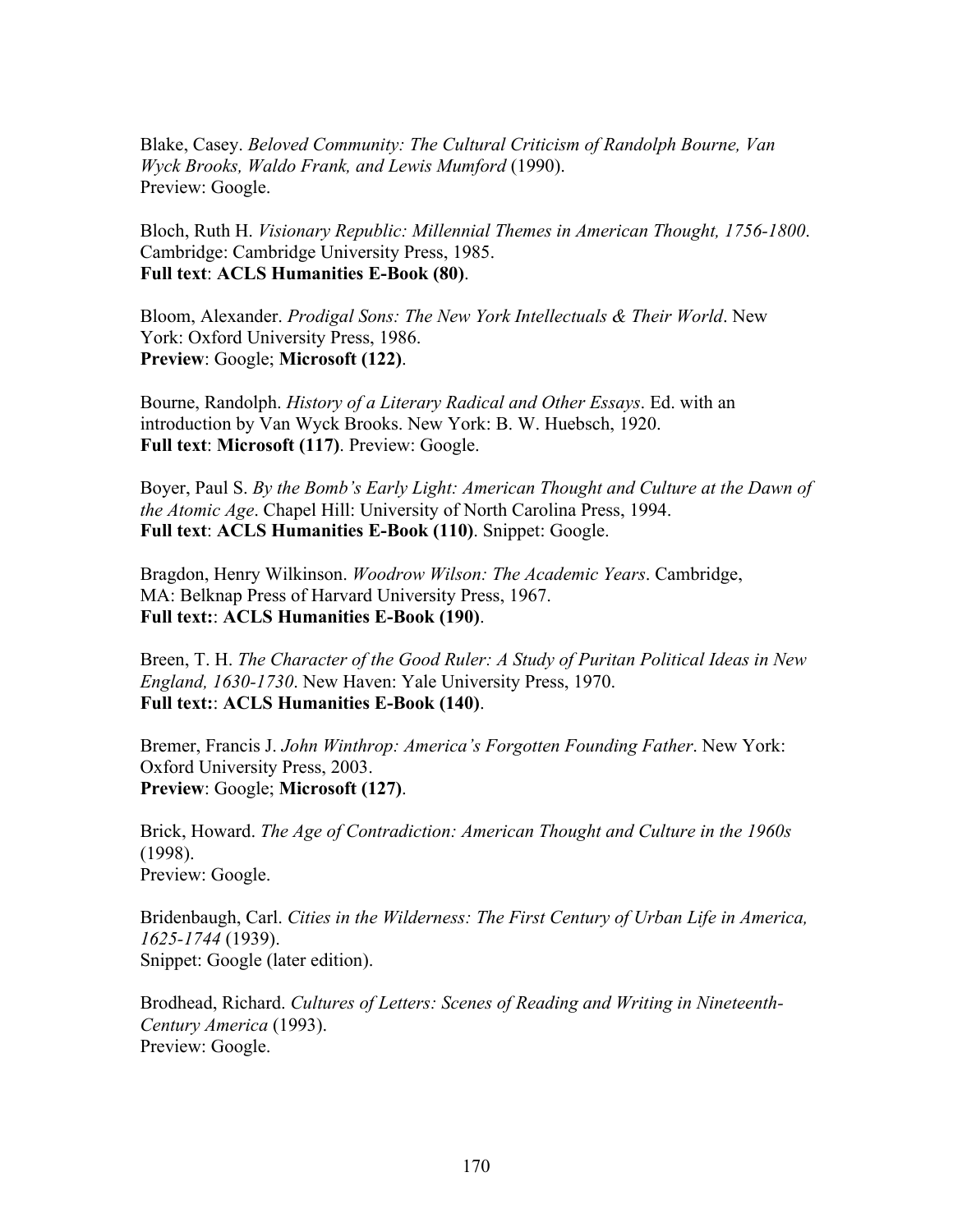Blake, Casey. *Beloved Community: The Cultural Criticism of Randolph Bourne, Van Wyck Brooks, Waldo Frank, and Lewis Mumford* (1990). Preview: Google.

Bloch, Ruth H. *Visionary Republic: Millennial Themes in American Thought, 1756-1800*. Cambridge: Cambridge University Press, 1985. **Full text**: **ACLS Humanities E-Book (80)**.

Bloom, Alexander. *Prodigal Sons: The New York Intellectuals & Their World*. New York: Oxford University Press, 1986. **Preview**: Google; **Microsoft (122)**.

Bourne, Randolph. *History of a Literary Radical and Other Essays*. Ed. with an introduction by Van Wyck Brooks. New York: B. W. Huebsch, 1920. **Full text**: **Microsoft (117)**. Preview: Google.

Boyer, Paul S. *By the Bomb's Early Light: American Thought and Culture at the Dawn of the Atomic Age*. Chapel Hill: University of North Carolina Press, 1994. **Full text**: **ACLS Humanities E-Book (110)**. Snippet: Google.

Bragdon, Henry Wilkinson. *Woodrow Wilson: The Academic Years*. Cambridge, MA: Belknap Press of Harvard University Press, 1967. **Full text:**: **ACLS Humanities E-Book (190)**.

Breen, T. H. *The Character of the Good Ruler: A Study of Puritan Political Ideas in New England, 1630-1730*. New Haven: Yale University Press, 1970. **Full text:**: **ACLS Humanities E-Book (140)**.

Bremer, Francis J. *John Winthrop: America's Forgotten Founding Father*. New York: Oxford University Press, 2003. **Preview**: Google; **Microsoft (127)**.

Brick, Howard. *The Age of Contradiction: American Thought and Culture in the 1960s* (1998). Preview: Google.

Bridenbaugh, Carl. *Cities in the Wilderness: The First Century of Urban Life in America, 1625-1744* (1939). Snippet: Google (later edition).

Brodhead, Richard. *Cultures of Letters: Scenes of Reading and Writing in Nineteenth-Century America* (1993). Preview: Google.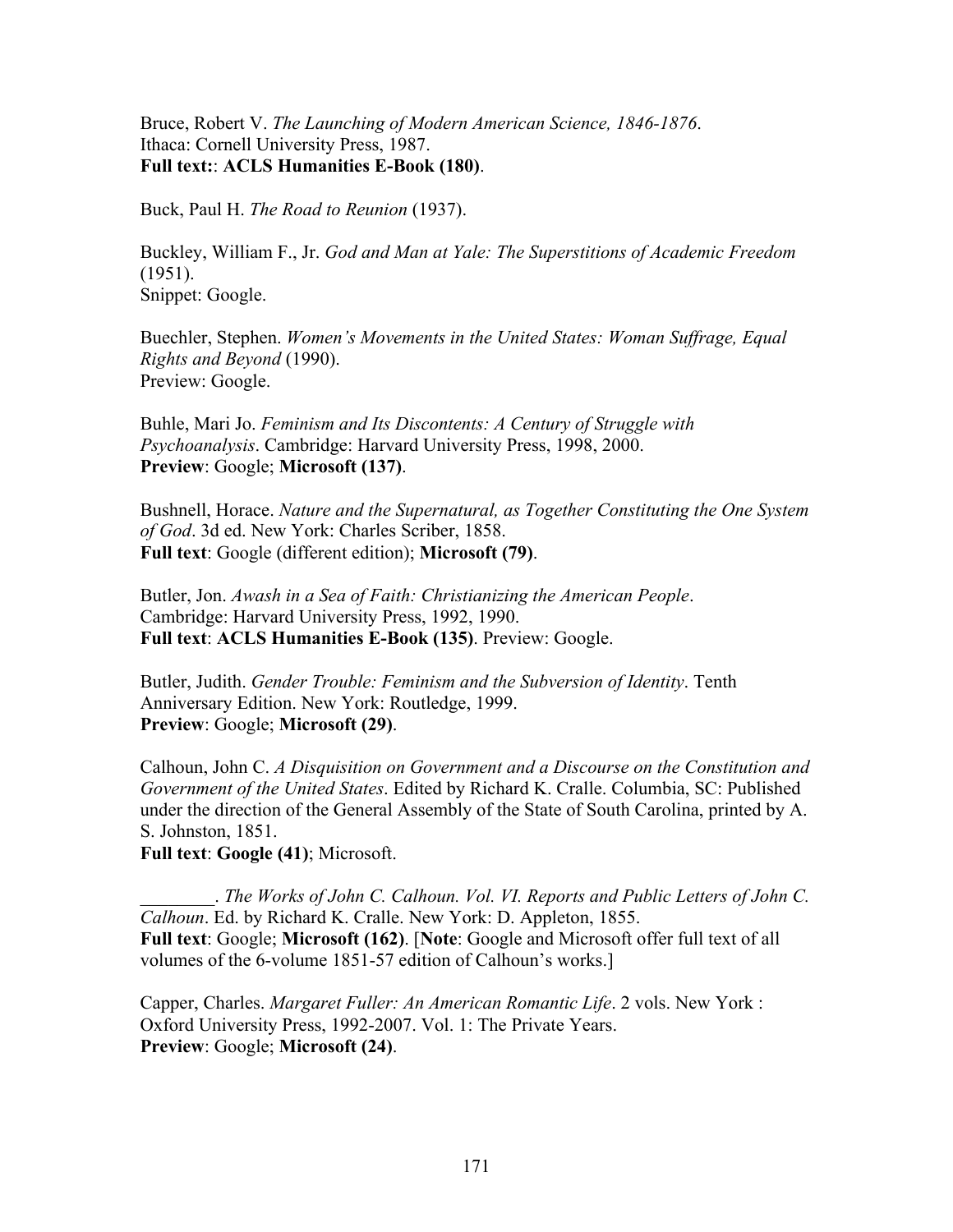Bruce, Robert V. *The Launching of Modern American Science, 1846-1876*. Ithaca: Cornell University Press, 1987. **Full text:**: **ACLS Humanities E-Book (180)**.

Buck, Paul H. *The Road to Reunion* (1937).

Buckley, William F., Jr. *God and Man at Yale: The Superstitions of Academic Freedom* (1951). Snippet: Google.

Buechler, Stephen. *Women's Movements in the United States: Woman Suffrage, Equal Rights and Beyond* (1990). Preview: Google.

Buhle, Mari Jo. *Feminism and Its Discontents: A Century of Struggle with Psychoanalysis*. Cambridge: Harvard University Press, 1998, 2000. **Preview**: Google; **Microsoft (137)**.

Bushnell, Horace. *Nature and the Supernatural, as Together Constituting the One System of God*. 3d ed. New York: Charles Scriber, 1858. **Full text**: Google (different edition); **Microsoft (79)**.

Butler, Jon. *Awash in a Sea of Faith: Christianizing the American People*. Cambridge: Harvard University Press, 1992, 1990. **Full text**: **ACLS Humanities E-Book (135)**. Preview: Google.

Butler, Judith. *Gender Trouble: Feminism and the Subversion of Identity*. Tenth Anniversary Edition. New York: Routledge, 1999. **Preview**: Google; **Microsoft (29)**.

Calhoun, John C. *A Disquisition on Government and a Discourse on the Constitution and Government of the United States*. Edited by Richard K. Cralle. Columbia, SC: Published under the direction of the General Assembly of the State of South Carolina, printed by A. S. Johnston, 1851.

**Full text**: **Google (41)**; Microsoft.

\_\_\_\_\_\_\_\_. *The Works of John C. Calhoun. Vol. VI. Reports and Public Letters of John C. Calhoun*. Ed. by Richard K. Cralle. New York: D. Appleton, 1855. **Full text**: Google; **Microsoft (162)**. [**Note**: Google and Microsoft offer full text of all volumes of the 6-volume 1851-57 edition of Calhoun's works.]

Capper, Charles. *Margaret Fuller: An American Romantic Life*. 2 vols. New York : Oxford University Press, 1992-2007. Vol. 1: The Private Years. **Preview**: Google; **Microsoft (24)**.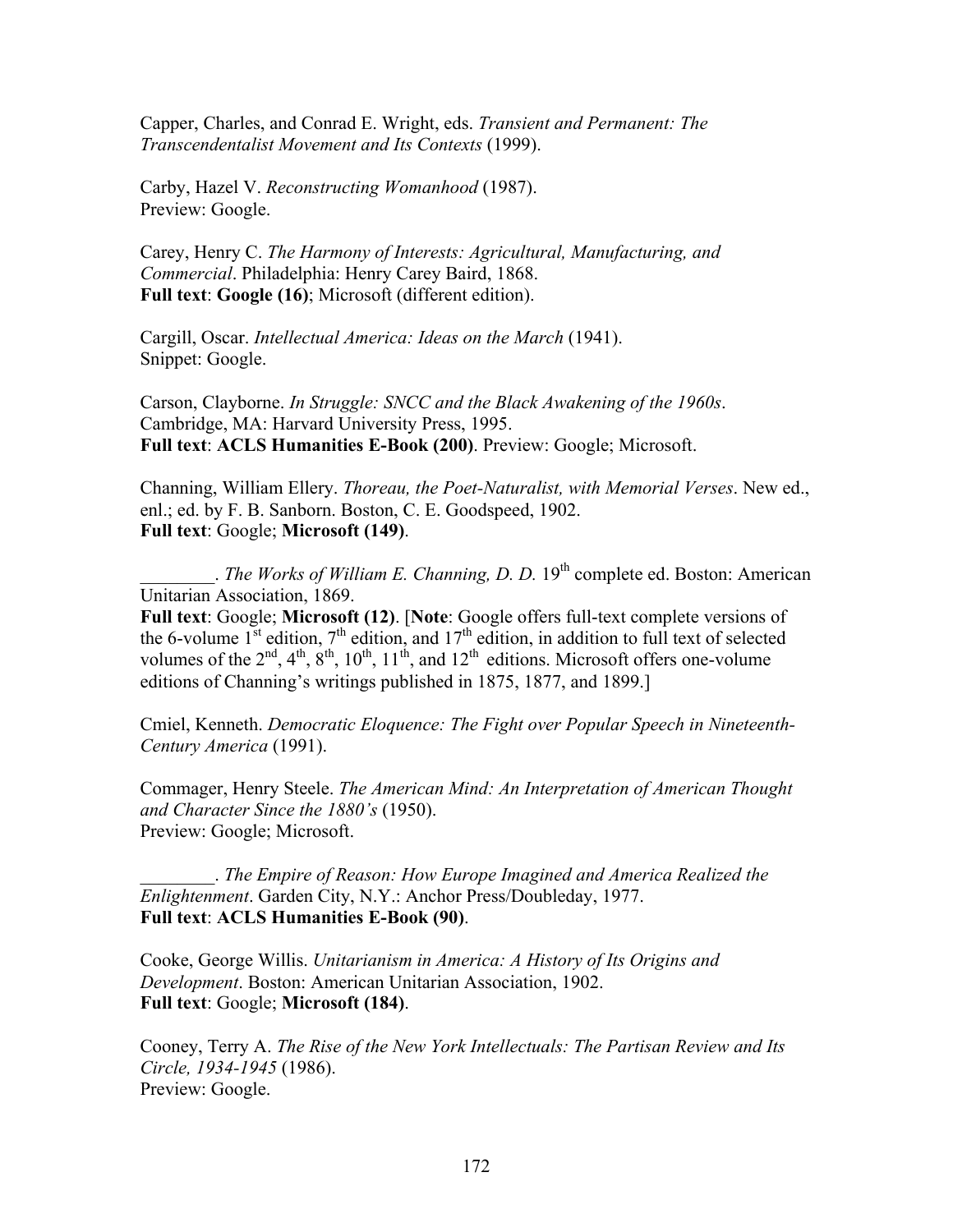Capper, Charles, and Conrad E. Wright, eds. *Transient and Permanent: The Transcendentalist Movement and Its Contexts* (1999).

Carby, Hazel V. *Reconstructing Womanhood* (1987). Preview: Google.

Carey, Henry C. *The Harmony of Interests: Agricultural, Manufacturing, and Commercial*. Philadelphia: Henry Carey Baird, 1868. **Full text**: **Google (16)**; Microsoft (different edition).

Cargill, Oscar. *Intellectual America: Ideas on the March* (1941). Snippet: Google.

Carson, Clayborne. *In Struggle: SNCC and the Black Awakening of the 1960s*. Cambridge, MA: Harvard University Press, 1995. **Full text**: **ACLS Humanities E-Book (200)**. Preview: Google; Microsoft.

Channing, William Ellery. *Thoreau, the Poet-Naturalist, with Memorial Verses*. New ed., enl.; ed. by F. B. Sanborn. Boston, C. E. Goodspeed, 1902. **Full text**: Google; **Microsoft (149)**.

. *The Works of William E. Channing, D. D.* 19<sup>th</sup> complete ed. Boston: American Unitarian Association, 1869.

**Full text**: Google; **Microsoft (12)**. [**Note**: Google offers full-text complete versions of the 6-volume  $1^{st}$  edition,  $7^{th}$  edition, and  $17^{th}$  edition, in addition to full text of selected volumes of the  $2^{nd}$ ,  $4^{th}$ ,  $8^{th}$ ,  $10^{th}$ ,  $11^{th}$ , and  $12^{th}$  editions. Microsoft offers one-volume editions of Channing's writings published in 1875, 1877, and 1899.]

Cmiel, Kenneth. *Democratic Eloquence: The Fight over Popular Speech in Nineteenth-Century America* (1991).

Commager, Henry Steele. *The American Mind: An Interpretation of American Thought and Character Since the 1880's* (1950). Preview: Google; Microsoft.

\_\_\_\_\_\_\_\_. *The Empire of Reason: How Europe Imagined and America Realized the Enlightenment*. Garden City, N.Y.: Anchor Press/Doubleday, 1977. **Full text**: **ACLS Humanities E-Book (90)**.

Cooke, George Willis. *Unitarianism in America: A History of Its Origins and Development*. Boston: American Unitarian Association, 1902. **Full text**: Google; **Microsoft (184)**.

Cooney, Terry A. *The Rise of the New York Intellectuals: The Partisan Review and Its Circle, 1934-1945* (1986). Preview: Google.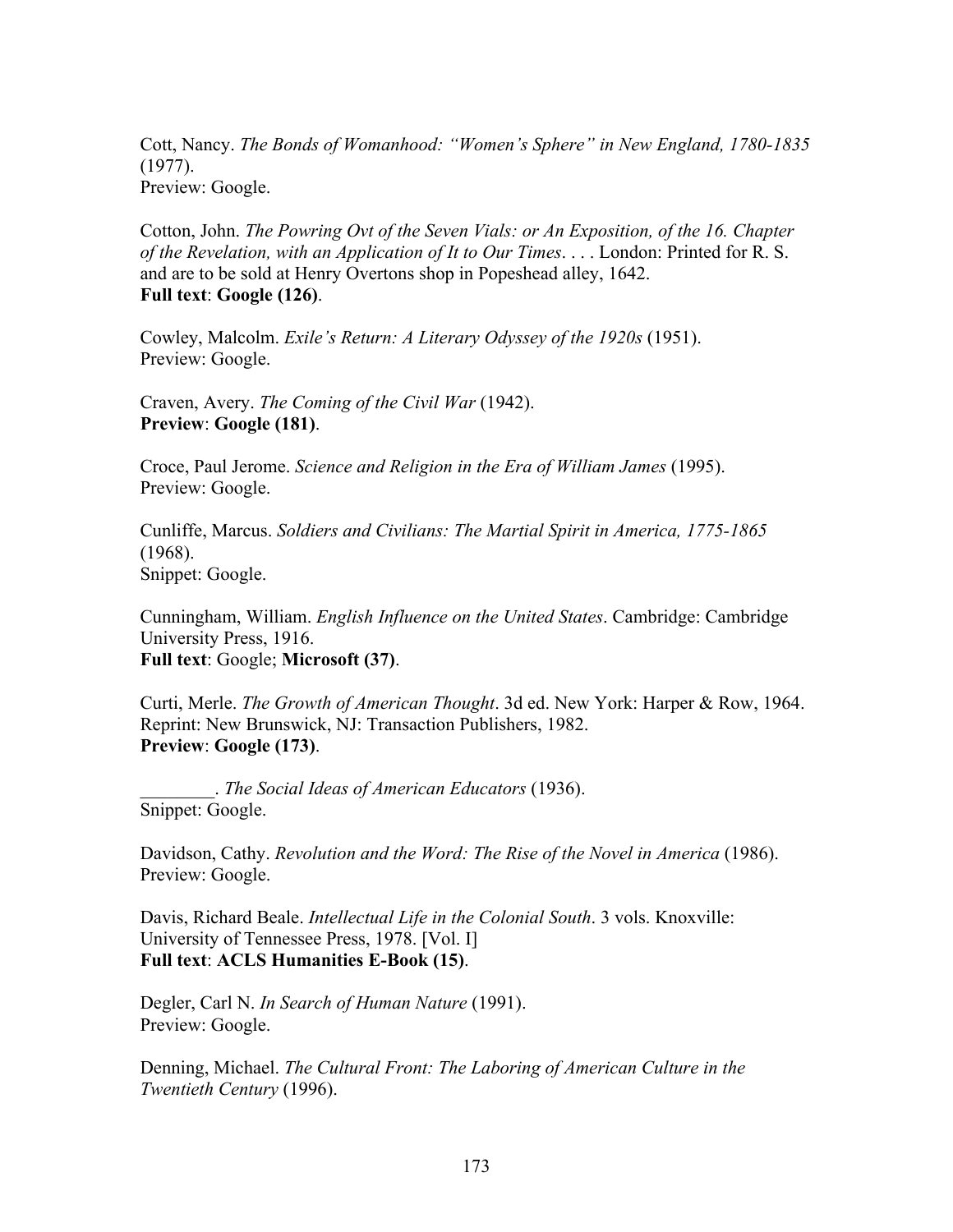Cott, Nancy. *The Bonds of Womanhood: "Women's Sphere" in New England, 1780-1835* (1977). Preview: Google.

Cotton, John. *The Powring Ovt of the Seven Vials: or An Exposition, of the 16. Chapter of the Revelation, with an Application of It to Our Times*. . . . London: Printed for R. S. and are to be sold at Henry Overtons shop in Popeshead alley, 1642. **Full text**: **Google (126)**.

Cowley, Malcolm. *Exile's Return: A Literary Odyssey of the 1920s* (1951). Preview: Google.

Craven, Avery. *The Coming of the Civil War* (1942). **Preview**: **Google (181)**.

Croce, Paul Jerome. *Science and Religion in the Era of William James* (1995). Preview: Google.

Cunliffe, Marcus. *Soldiers and Civilians: The Martial Spirit in America, 1775-1865* (1968). Snippet: Google.

Cunningham, William. *English Influence on the United States*. Cambridge: Cambridge University Press, 1916. **Full text**: Google; **Microsoft (37)**.

Curti, Merle. *The Growth of American Thought*. 3d ed. New York: Harper & Row, 1964. Reprint: New Brunswick, NJ: Transaction Publishers, 1982. **Preview**: **Google (173)**.

\_\_\_\_\_\_\_\_. *The Social Ideas of American Educators* (1936). Snippet: Google.

Davidson, Cathy. *Revolution and the Word: The Rise of the Novel in America* (1986). Preview: Google.

Davis, Richard Beale. *Intellectual Life in the Colonial South*. 3 vols. Knoxville: University of Tennessee Press, 1978. [Vol. I] **Full text**: **ACLS Humanities E-Book (15)**.

Degler, Carl N. *In Search of Human Nature* (1991). Preview: Google.

Denning, Michael. *The Cultural Front: The Laboring of American Culture in the Twentieth Century* (1996).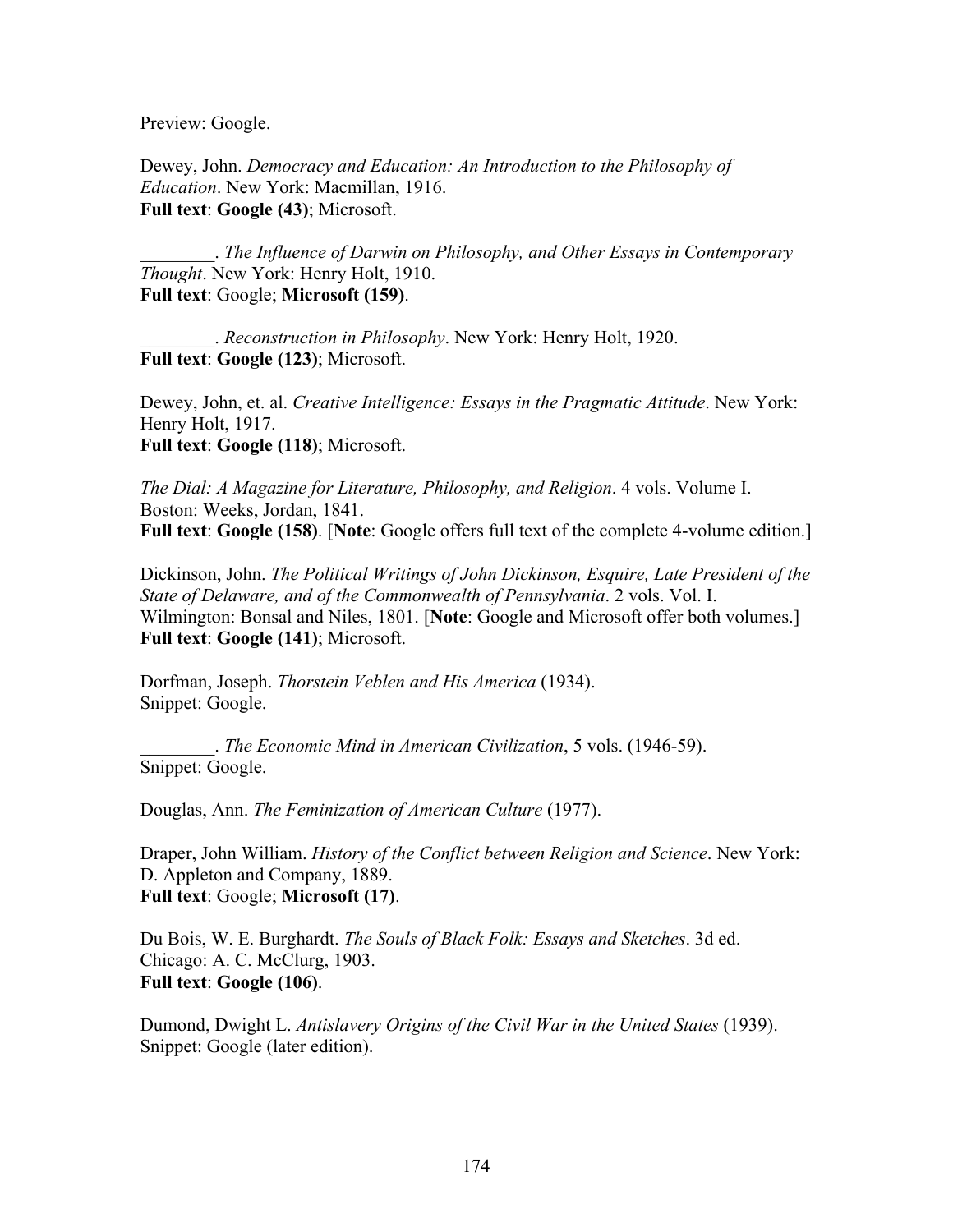Preview: Google.

Dewey, John. *Democracy and Education: An Introduction to the Philosophy of Education*. New York: Macmillan, 1916. **Full text**: **Google (43)**; Microsoft.

\_\_\_\_\_\_\_\_. *The Influence of Darwin on Philosophy, and Other Essays in Contemporary Thought*. New York: Henry Holt, 1910. **Full text**: Google; **Microsoft (159)**.

\_\_\_\_\_\_\_\_. *Reconstruction in Philosophy*. New York: Henry Holt, 1920. **Full text**: **Google (123)**; Microsoft.

Dewey, John, et. al. *Creative Intelligence: Essays in the Pragmatic Attitude*. New York: Henry Holt, 1917. **Full text**: **Google (118)**; Microsoft.

*The Dial: A Magazine for Literature, Philosophy, and Religion*. 4 vols. Volume I. Boston: Weeks, Jordan, 1841. **Full text**: **Google (158)**. [**Note**: Google offers full text of the complete 4-volume edition.]

Dickinson, John. *The Political Writings of John Dickinson, Esquire, Late President of the State of Delaware, and of the Commonwealth of Pennsylvania*. 2 vols. Vol. I. Wilmington: Bonsal and Niles, 1801. [**Note**: Google and Microsoft offer both volumes.] **Full text**: **Google (141)**; Microsoft.

Dorfman, Joseph. *Thorstein Veblen and His America* (1934). Snippet: Google.

\_\_\_\_\_\_\_\_. *The Economic Mind in American Civilization*, 5 vols. (1946-59). Snippet: Google.

Douglas, Ann. *The Feminization of American Culture* (1977).

Draper, John William. *History of the Conflict between Religion and Science*. New York: D. Appleton and Company, 1889. **Full text**: Google; **Microsoft (17)**.

Du Bois, W. E. Burghardt. *The Souls of Black Folk: Essays and Sketches*. 3d ed. Chicago: A. C. McClurg, 1903. **Full text**: **Google (106)**.

Dumond, Dwight L. *Antislavery Origins of the Civil War in the United States* (1939). Snippet: Google (later edition).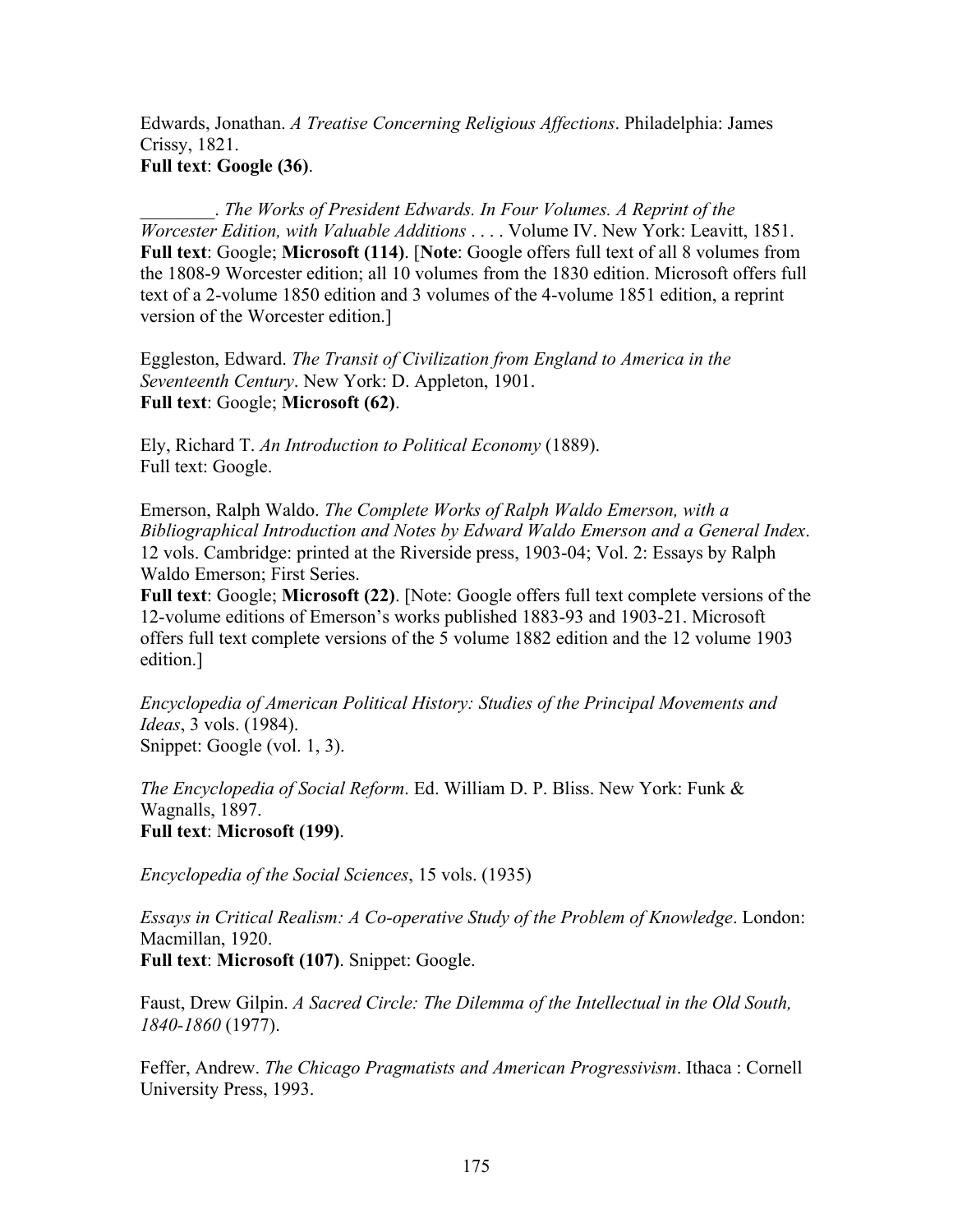Edwards, Jonathan. *A Treatise Concerning Religious Affections*. Philadelphia: James Crissy, 1821. **Full text**: **Google (36)**.

\_\_\_\_\_\_\_\_. *The Works of President Edwards. In Four Volumes. A Reprint of the Worcester Edition, with Valuable Additions* . . . . Volume IV. New York: Leavitt, 1851. **Full text**: Google; **Microsoft (114)**. [**Note**: Google offers full text of all 8 volumes from the 1808-9 Worcester edition; all 10 volumes from the 1830 edition. Microsoft offers full text of a 2-volume 1850 edition and 3 volumes of the 4-volume 1851 edition, a reprint version of the Worcester edition.]

Eggleston, Edward. *The Transit of Civilization from England to America in the Seventeenth Century*. New York: D. Appleton, 1901. **Full text**: Google; **Microsoft (62)**.

Ely, Richard T. *An Introduction to Political Economy* (1889). Full text: Google.

Emerson, Ralph Waldo. *The Complete Works of Ralph Waldo Emerson, with a Bibliographical Introduction and Notes by Edward Waldo Emerson and a General Index*. 12 vols. Cambridge: printed at the Riverside press, 1903-04; Vol. 2: Essays by Ralph Waldo Emerson; First Series.

**Full text**: Google; **Microsoft (22)**. [Note: Google offers full text complete versions of the 12-volume editions of Emerson's works published 1883-93 and 1903-21. Microsoft offers full text complete versions of the 5 volume 1882 edition and the 12 volume 1903 edition.]

*Encyclopedia of American Political History: Studies of the Principal Movements and Ideas*, 3 vols. (1984). Snippet: Google (vol. 1, 3).

*The Encyclopedia of Social Reform*. Ed. William D. P. Bliss. New York: Funk & Wagnalls, 1897.

**Full text**: **Microsoft (199)**.

*Encyclopedia of the Social Sciences*, 15 vols. (1935)

*Essays in Critical Realism: A Co-operative Study of the Problem of Knowledge*. London: Macmillan, 1920.

**Full text**: **Microsoft (107)**. Snippet: Google.

Faust, Drew Gilpin. *A Sacred Circle: The Dilemma of the Intellectual in the Old South, 1840-1860* (1977).

Feffer, Andrew. *The Chicago Pragmatists and American Progressivism*. Ithaca : Cornell University Press, 1993.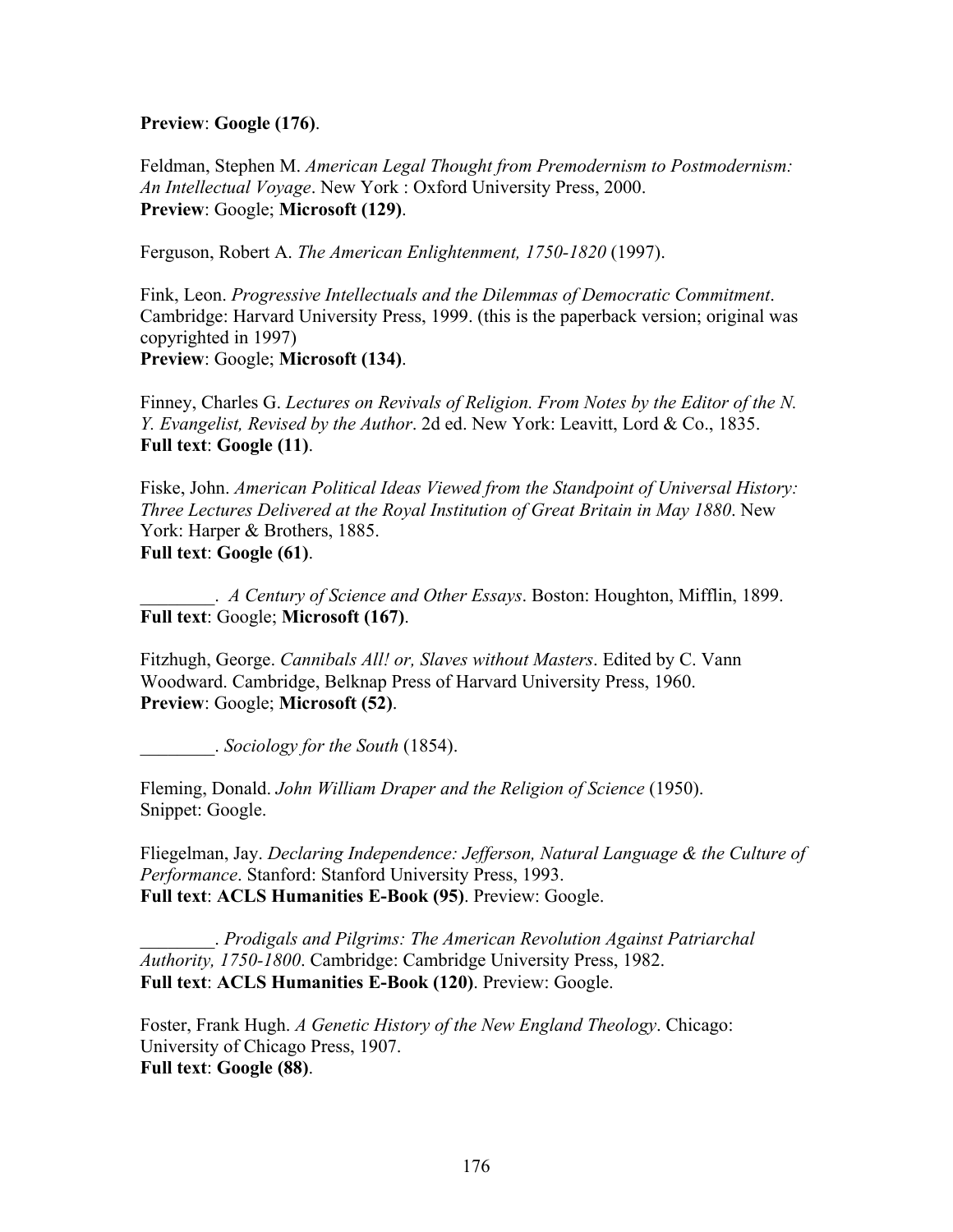# **Preview**: **Google (176)**.

Feldman, Stephen M. *American Legal Thought from Premodernism to Postmodernism: An Intellectual Voyage*. New York : Oxford University Press, 2000. **Preview**: Google; **Microsoft (129)**.

Ferguson, Robert A. *The American Enlightenment, 1750-1820* (1997).

Fink, Leon. *Progressive Intellectuals and the Dilemmas of Democratic Commitment*. Cambridge: Harvard University Press, 1999. (this is the paperback version; original was copyrighted in 1997) **Preview**: Google; **Microsoft (134)**.

Finney, Charles G. *Lectures on Revivals of Religion. From Notes by the Editor of the N. Y. Evangelist, Revised by the Author*. 2d ed. New York: Leavitt, Lord & Co., 1835. **Full text**: **Google (11)**.

Fiske, John. *American Political Ideas Viewed from the Standpoint of Universal History: Three Lectures Delivered at the Royal Institution of Great Britain in May 1880*. New York: Harper & Brothers, 1885. **Full text**: **Google (61)**.

\_\_\_\_\_\_\_\_. *A Century of Science and Other Essays*. Boston: Houghton, Mifflin, 1899. **Full text**: Google; **Microsoft (167)**.

Fitzhugh, George. *Cannibals All! or, Slaves without Masters*. Edited by C. Vann Woodward. Cambridge, Belknap Press of Harvard University Press, 1960. **Preview**: Google; **Microsoft (52)**.

\_\_\_\_\_\_\_\_. *Sociology for the South* (1854).

Fleming, Donald. *John William Draper and the Religion of Science* (1950). Snippet: Google.

Fliegelman, Jay. *Declaring Independence: Jefferson, Natural Language & the Culture of Performance*. Stanford: Stanford University Press, 1993. **Full text**: **ACLS Humanities E-Book (95)**. Preview: Google.

\_\_\_\_\_\_\_\_. *Prodigals and Pilgrims: The American Revolution Against Patriarchal Authority, 1750-1800*. Cambridge: Cambridge University Press, 1982. **Full text**: **ACLS Humanities E-Book (120)**. Preview: Google.

Foster, Frank Hugh. *A Genetic History of the New England Theology*. Chicago: University of Chicago Press, 1907. **Full text**: **Google (88)**.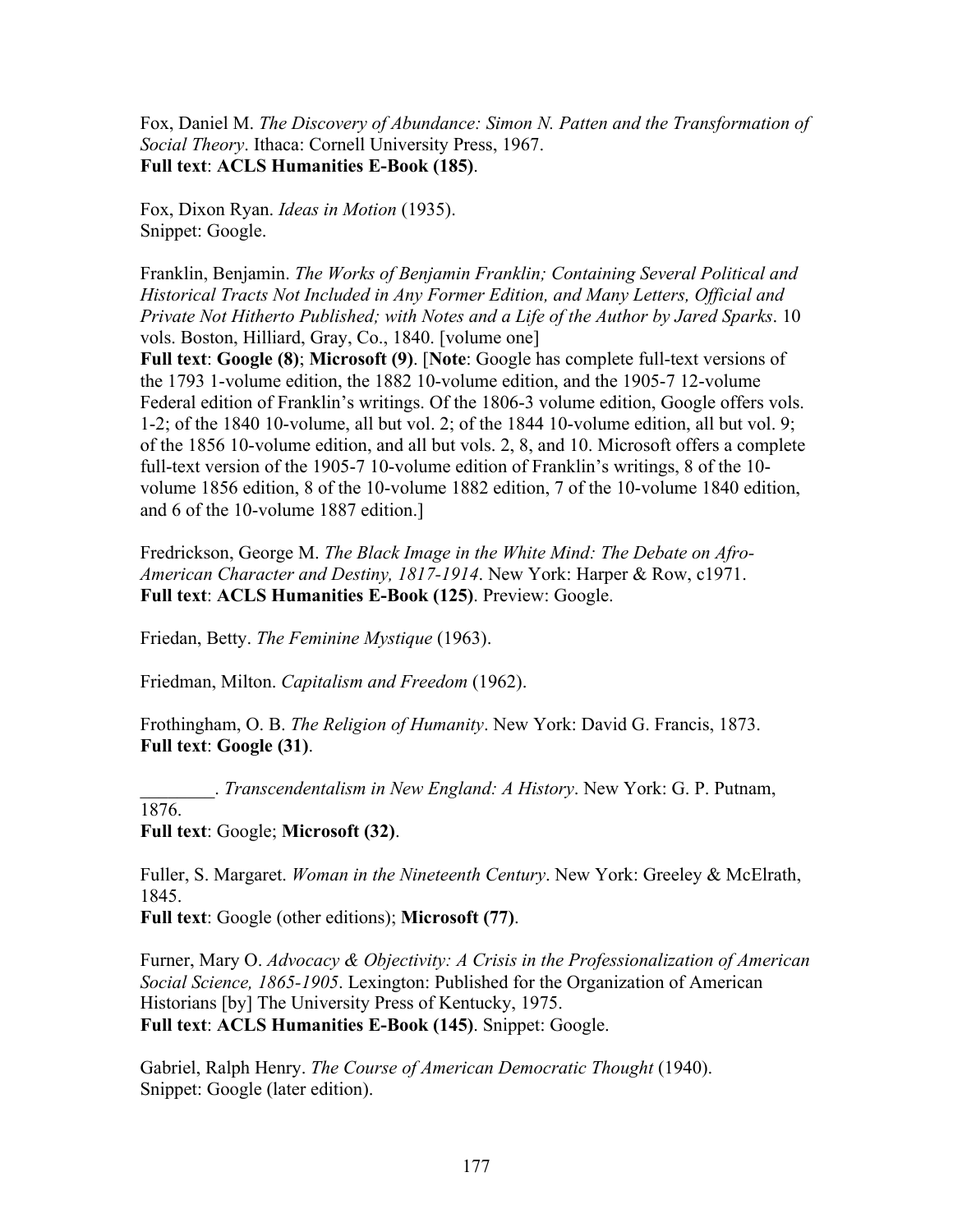Fox, Daniel M. *The Discovery of Abundance: Simon N. Patten and the Transformation of Social Theory*. Ithaca: Cornell University Press, 1967. **Full text**: **ACLS Humanities E-Book (185)**.

Fox, Dixon Ryan. *Ideas in Motion* (1935). Snippet: Google.

Franklin, Benjamin. *The Works of Benjamin Franklin; Containing Several Political and Historical Tracts Not Included in Any Former Edition, and Many Letters, Official and Private Not Hitherto Published; with Notes and a Life of the Author by Jared Sparks*. 10 vols. Boston, Hilliard, Gray, Co., 1840. [volume one]

**Full text**: **Google (8)**; **Microsoft (9)**. [**Note**: Google has complete full-text versions of the 1793 1-volume edition, the 1882 10-volume edition, and the 1905-7 12-volume Federal edition of Franklin's writings. Of the 1806-3 volume edition, Google offers vols. 1-2; of the 1840 10-volume, all but vol. 2; of the 1844 10-volume edition, all but vol. 9; of the 1856 10-volume edition, and all but vols. 2, 8, and 10. Microsoft offers a complete full-text version of the 1905-7 10-volume edition of Franklin's writings, 8 of the 10 volume 1856 edition, 8 of the 10-volume 1882 edition, 7 of the 10-volume 1840 edition, and 6 of the 10-volume 1887 edition.]

Fredrickson, George M. *The Black Image in the White Mind: The Debate on Afro-American Character and Destiny, 1817-1914*. New York: Harper & Row, c1971. **Full text**: **ACLS Humanities E-Book (125)**. Preview: Google.

Friedan, Betty. *The Feminine Mystique* (1963).

Friedman, Milton. *Capitalism and Freedom* (1962).

Frothingham, O. B. *The Religion of Humanity*. New York: David G. Francis, 1873. **Full text**: **Google (31)**.

\_\_\_\_\_\_\_\_. *Transcendentalism in New England: A History*. New York: G. P. Putnam,

1876.

**Full text**: Google; **Microsoft (32)**.

Fuller, S. Margaret. *Woman in the Nineteenth Century*. New York: Greeley & McElrath, 1845.

**Full text**: Google (other editions); **Microsoft (77)**.

Furner, Mary O. *Advocacy & Objectivity: A Crisis in the Professionalization of American Social Science, 1865-1905*. Lexington: Published for the Organization of American Historians [by] The University Press of Kentucky, 1975. **Full text**: **ACLS Humanities E-Book (145)**. Snippet: Google.

Gabriel, Ralph Henry. *The Course of American Democratic Thought* (1940). Snippet: Google (later edition).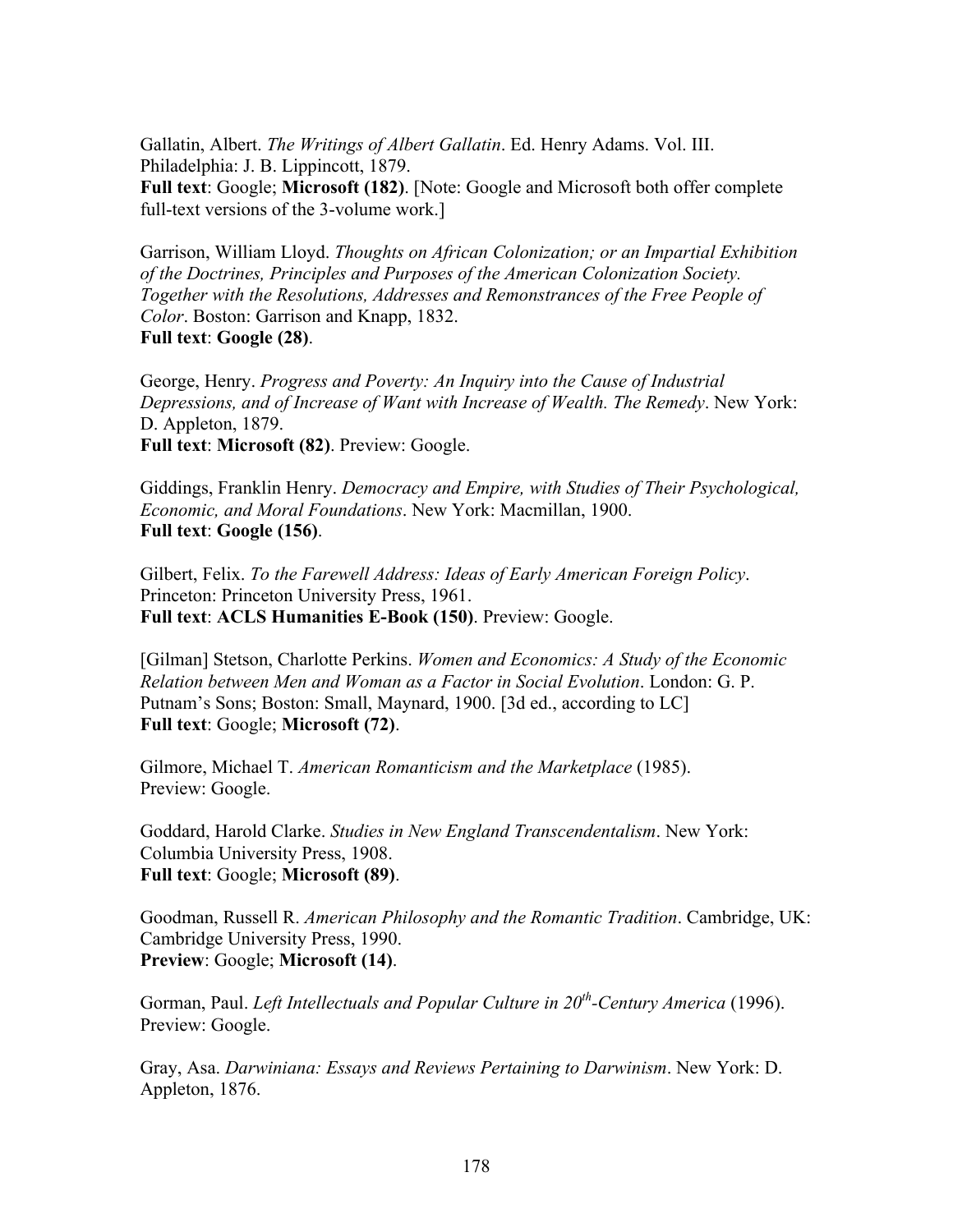Gallatin, Albert. *The Writings of Albert Gallatin*. Ed. Henry Adams. Vol. III. Philadelphia: J. B. Lippincott, 1879.

**Full text**: Google; **Microsoft (182)**. [Note: Google and Microsoft both offer complete full-text versions of the 3-volume work.]

Garrison, William Lloyd. *Thoughts on African Colonization; or an Impartial Exhibition of the Doctrines, Principles and Purposes of the American Colonization Society. Together with the Resolutions, Addresses and Remonstrances of the Free People of Color*. Boston: Garrison and Knapp, 1832. **Full text**: **Google (28)**.

George, Henry. *Progress and Poverty: An Inquiry into the Cause of Industrial Depressions, and of Increase of Want with Increase of Wealth. The Remedy*. New York: D. Appleton, 1879. **Full text**: **Microsoft (82)**. Preview: Google.

Giddings, Franklin Henry. *Democracy and Empire, with Studies of Their Psychological, Economic, and Moral Foundations*. New York: Macmillan, 1900. **Full text**: **Google (156)**.

Gilbert, Felix. *To the Farewell Address: Ideas of Early American Foreign Policy*. Princeton: Princeton University Press, 1961. **Full text**: **ACLS Humanities E-Book (150)**. Preview: Google.

[Gilman] Stetson, Charlotte Perkins. *Women and Economics: A Study of the Economic Relation between Men and Woman as a Factor in Social Evolution*. London: G. P. Putnam's Sons; Boston: Small, Maynard, 1900. [3d ed., according to LC] **Full text**: Google; **Microsoft (72)**.

Gilmore, Michael T. *American Romanticism and the Marketplace* (1985). Preview: Google.

Goddard, Harold Clarke. *Studies in New England Transcendentalism*. New York: Columbia University Press, 1908. **Full text**: Google; **Microsoft (89)**.

Goodman, Russell R. *American Philosophy and the Romantic Tradition*. Cambridge, UK: Cambridge University Press, 1990. **Preview**: Google; **Microsoft (14)**.

Gorman, Paul. *Left Intellectuals and Popular Culture in 20th-Century America* (1996). Preview: Google.

Gray, Asa. *Darwiniana: Essays and Reviews Pertaining to Darwinism*. New York: D. Appleton, 1876.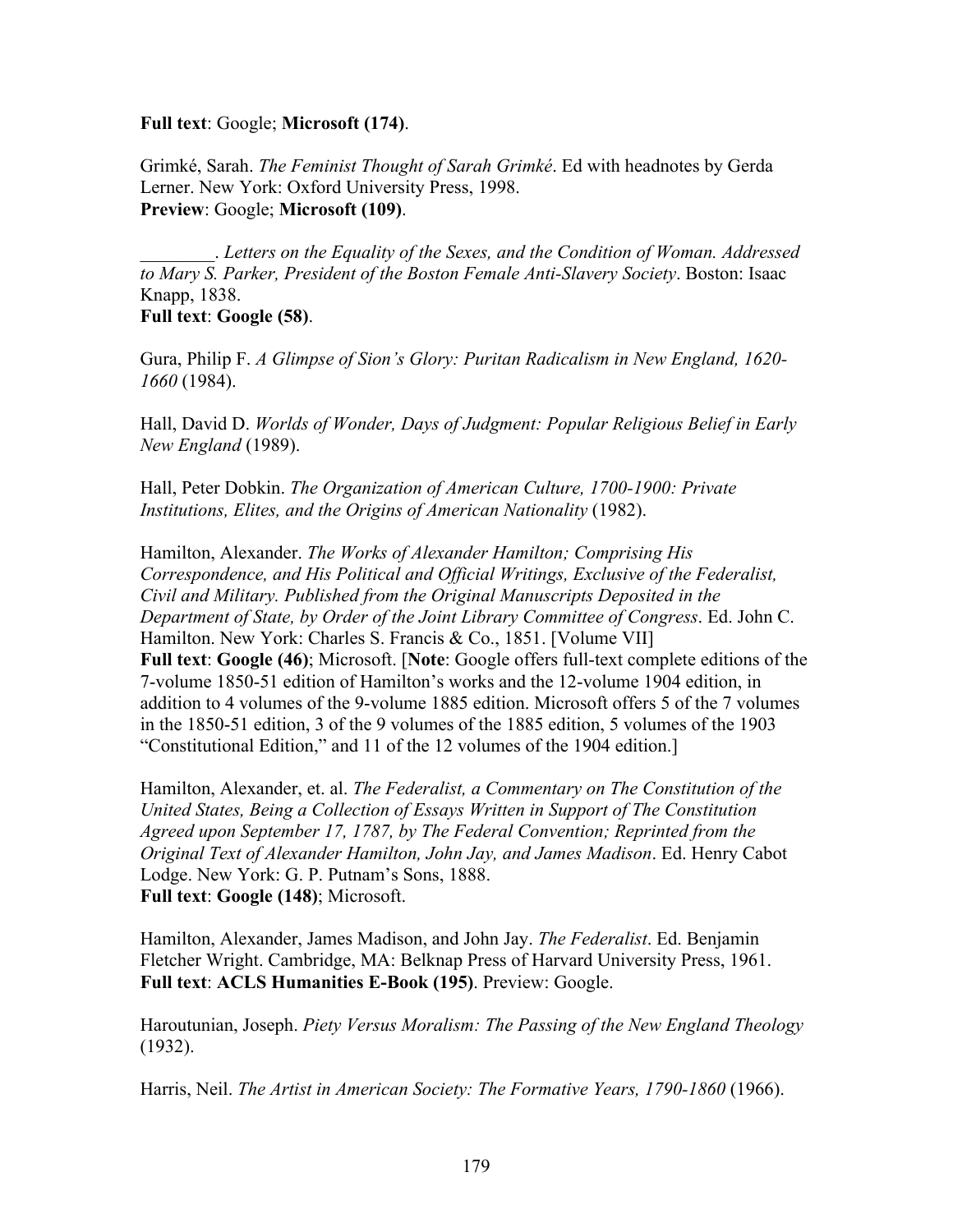# **Full text**: Google; **Microsoft (174)**.

Grimké, Sarah. *The Feminist Thought of Sarah Grimké*. Ed with headnotes by Gerda Lerner. New York: Oxford University Press, 1998. **Preview**: Google; **Microsoft (109)**.

\_\_\_\_\_\_\_\_. *Letters on the Equality of the Sexes, and the Condition of Woman. Addressed to Mary S. Parker, President of the Boston Female Anti-Slavery Society*. Boston: Isaac Knapp, 1838.

**Full text**: **Google (58)**.

Gura, Philip F. *A Glimpse of Sion's Glory: Puritan Radicalism in New England, 1620- 1660* (1984).

Hall, David D. *Worlds of Wonder, Days of Judgment: Popular Religious Belief in Early New England* (1989).

Hall, Peter Dobkin. *The Organization of American Culture, 1700-1900: Private Institutions, Elites, and the Origins of American Nationality* (1982).

Hamilton, Alexander. *The Works of Alexander Hamilton; Comprising His Correspondence, and His Political and Official Writings, Exclusive of the Federalist, Civil and Military. Published from the Original Manuscripts Deposited in the Department of State, by Order of the Joint Library Committee of Congress*. Ed. John C. Hamilton. New York: Charles S. Francis & Co., 1851. [Volume VII] **Full text**: **Google (46)**; Microsoft. [**Note**: Google offers full-text complete editions of the 7-volume 1850-51 edition of Hamilton's works and the 12-volume 1904 edition, in addition to 4 volumes of the 9-volume 1885 edition. Microsoft offers 5 of the 7 volumes in the 1850-51 edition, 3 of the 9 volumes of the 1885 edition, 5 volumes of the 1903 "Constitutional Edition," and 11 of the 12 volumes of the 1904 edition.]

Hamilton, Alexander, et. al. *The Federalist, a Commentary on The Constitution of the United States, Being a Collection of Essays Written in Support of The Constitution Agreed upon September 17, 1787, by The Federal Convention; Reprinted from the Original Text of Alexander Hamilton, John Jay, and James Madison*. Ed. Henry Cabot Lodge. New York: G. P. Putnam's Sons, 1888. **Full text**: **Google (148)**; Microsoft.

Hamilton, Alexander, James Madison, and John Jay. *The Federalist*. Ed. Benjamin Fletcher Wright. Cambridge, MA: Belknap Press of Harvard University Press, 1961. **Full text**: **ACLS Humanities E-Book (195)**. Preview: Google.

Haroutunian, Joseph. *Piety Versus Moralism: The Passing of the New England Theology* (1932).

Harris, Neil. *The Artist in American Society: The Formative Years, 1790-1860* (1966).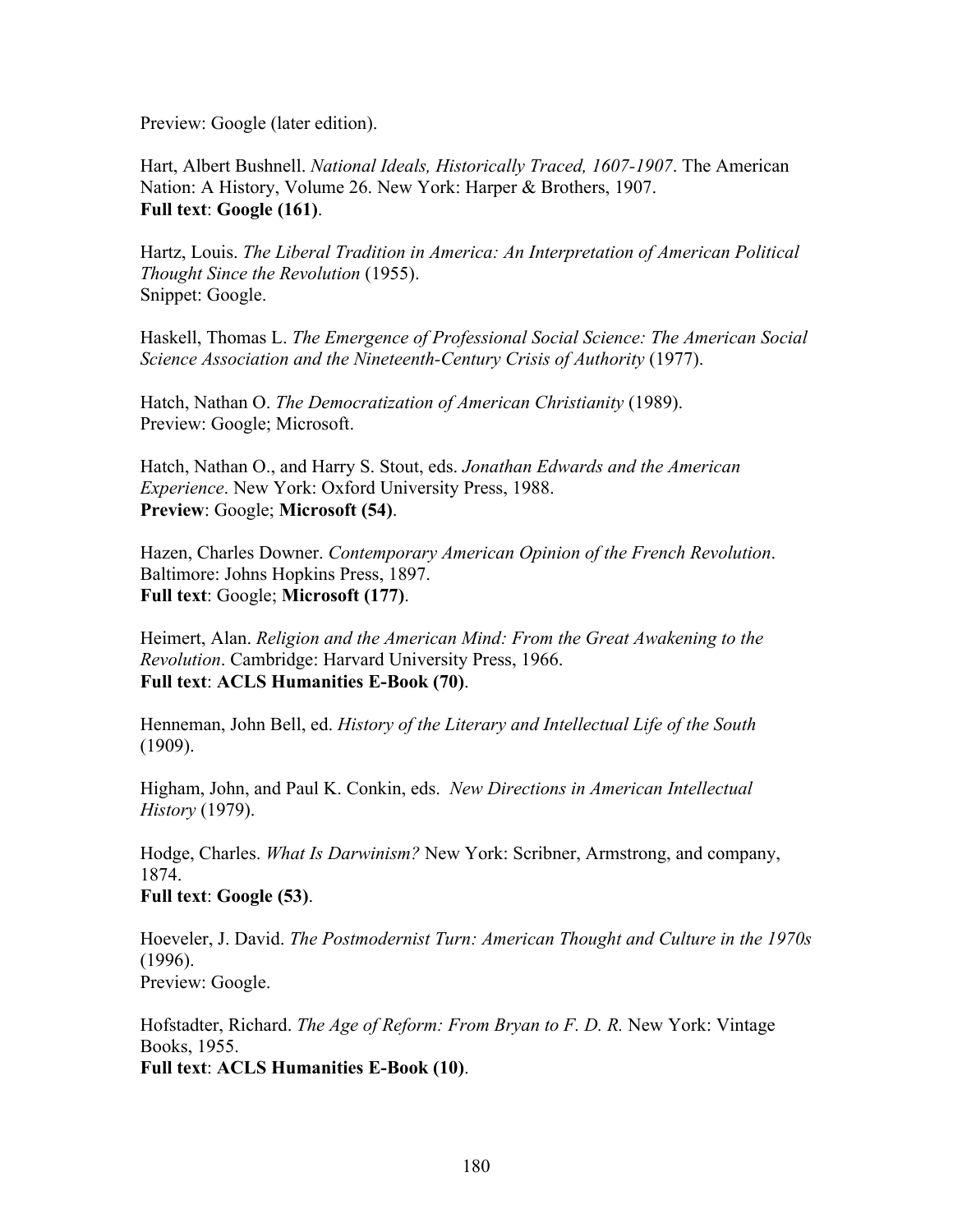Preview: Google (later edition).

Hart, Albert Bushnell. *National Ideals, Historically Traced, 1607-1907*. The American Nation: A History, Volume 26. New York: Harper & Brothers, 1907. **Full text**: **Google (161)**.

Hartz, Louis. *The Liberal Tradition in America: An Interpretation of American Political Thought Since the Revolution* (1955). Snippet: Google.

Haskell, Thomas L. *The Emergence of Professional Social Science: The American Social Science Association and the Nineteenth-Century Crisis of Authority* (1977).

Hatch, Nathan O. *The Democratization of American Christianity* (1989). Preview: Google; Microsoft.

Hatch, Nathan O., and Harry S. Stout, eds. *Jonathan Edwards and the American Experience*. New York: Oxford University Press, 1988. **Preview**: Google; **Microsoft (54)**.

Hazen, Charles Downer. *Contemporary American Opinion of the French Revolution*. Baltimore: Johns Hopkins Press, 1897. **Full text**: Google; **Microsoft (177)**.

Heimert, Alan. *Religion and the American Mind: From the Great Awakening to the Revolution*. Cambridge: Harvard University Press, 1966. **Full text**: **ACLS Humanities E-Book (70)**.

Henneman, John Bell, ed. *History of the Literary and Intellectual Life of the South* (1909).

Higham, John, and Paul K. Conkin, eds. *New Directions in American Intellectual History* (1979).

Hodge, Charles. *What Is Darwinism?* New York: Scribner, Armstrong, and company, 1874.

**Full text**: **Google (53)**.

Hoeveler, J. David. *The Postmodernist Turn: American Thought and Culture in the 1970s* (1996). Preview: Google.

Hofstadter, Richard. *The Age of Reform: From Bryan to F. D. R.* New York: Vintage Books, 1955.

**Full text**: **ACLS Humanities E-Book (10)**.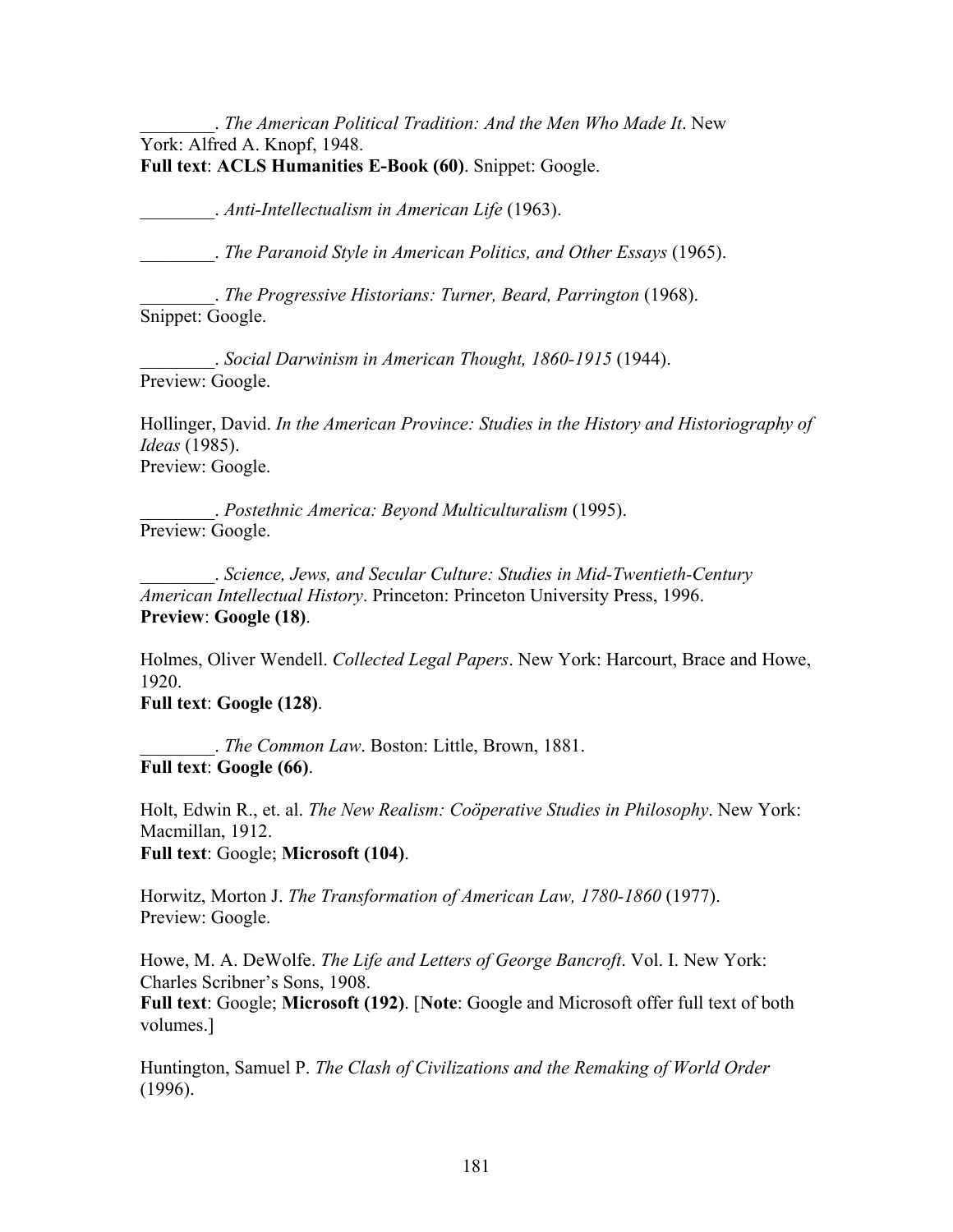\_\_\_\_\_\_\_\_. *The American Political Tradition: And the Men Who Made It*. New York: Alfred A. Knopf, 1948. **Full text**: **ACLS Humanities E-Book (60)**. Snippet: Google.

\_\_\_\_\_\_\_\_. *Anti-Intellectualism in American Life* (1963).

\_\_\_\_\_\_\_\_. *The Paranoid Style in American Politics, and Other Essays* (1965).

\_\_\_\_\_\_\_\_. *The Progressive Historians: Turner, Beard, Parrington* (1968). Snippet: Google.

\_\_\_\_\_\_\_\_. *Social Darwinism in American Thought, 1860-1915* (1944). Preview: Google.

Hollinger, David. *In the American Province: Studies in the History and Historiography of Ideas* (1985). Preview: Google.

\_\_\_\_\_\_\_\_. *Postethnic America: Beyond Multiculturalism* (1995). Preview: Google.

\_\_\_\_\_\_\_\_. *Science, Jews, and Secular Culture: Studies in Mid-Twentieth-Century American Intellectual History*. Princeton: Princeton University Press, 1996. **Preview**: **Google (18)**.

Holmes, Oliver Wendell. *Collected Legal Papers*. New York: Harcourt, Brace and Howe, 1920.

**Full text**: **Google (128)**.

\_\_\_\_\_\_\_\_. *The Common Law*. Boston: Little, Brown, 1881. **Full text**: **Google (66)**.

Holt, Edwin R., et. al. *The New Realism: Coöperative Studies in Philosophy*. New York: Macmillan, 1912.

**Full text**: Google; **Microsoft (104)**.

Horwitz, Morton J. *The Transformation of American Law, 1780-1860* (1977). Preview: Google.

Howe, M. A. DeWolfe. *The Life and Letters of George Bancroft*. Vol. I. New York: Charles Scribner's Sons, 1908.

**Full text**: Google; **Microsoft (192)**. [**Note**: Google and Microsoft offer full text of both volumes.]

Huntington, Samuel P. *The Clash of Civilizations and the Remaking of World Order* (1996).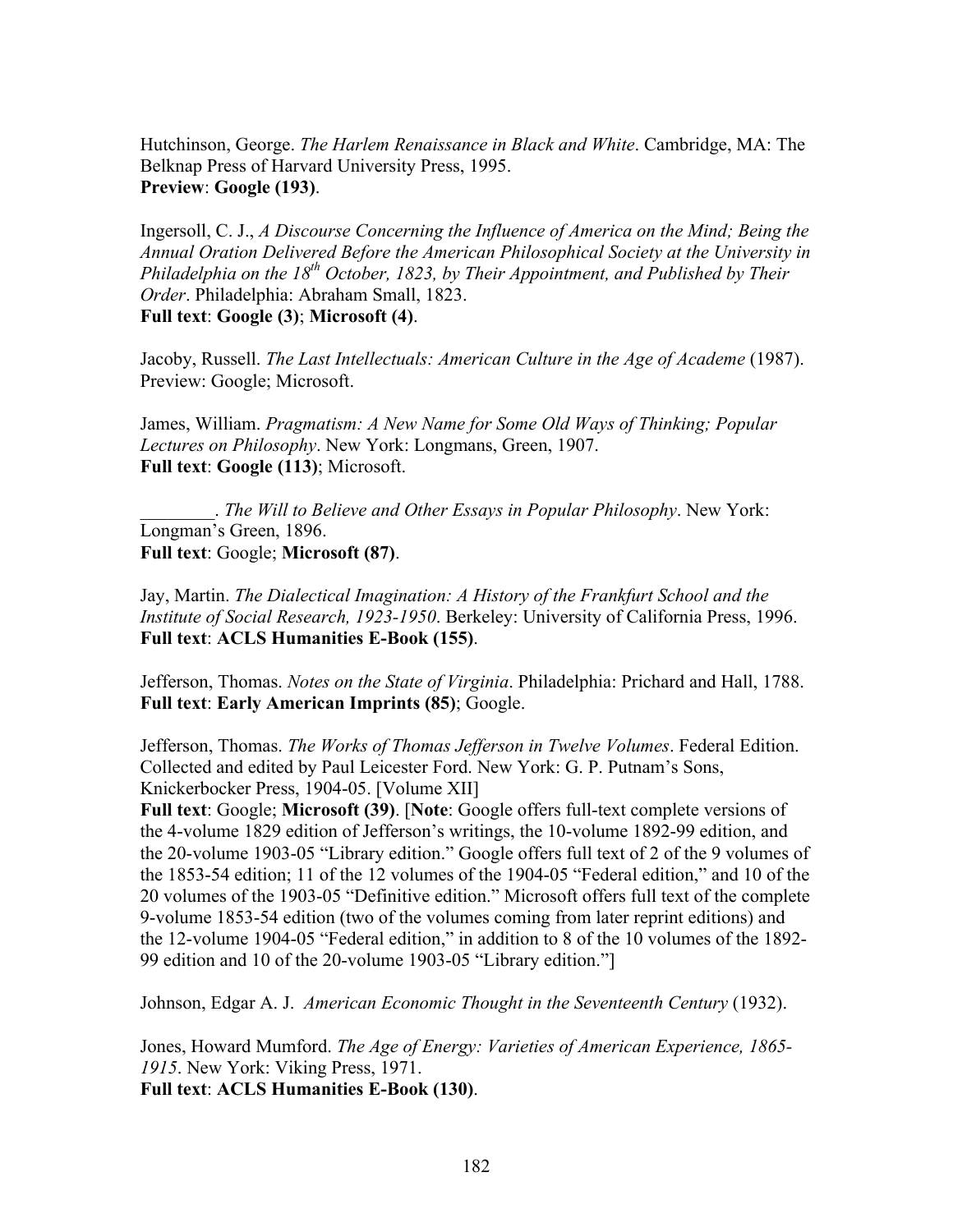Hutchinson, George. *The Harlem Renaissance in Black and White*. Cambridge, MA: The Belknap Press of Harvard University Press, 1995. **Preview**: **Google (193)**.

Ingersoll, C. J., *A Discourse Concerning the Influence of America on the Mind; Being the Annual Oration Delivered Before the American Philosophical Society at the University in Philadelphia on the 18<sup>th</sup> October, 1823, by Their Appointment, and Published by Their Order*. Philadelphia: Abraham Small, 1823. **Full text**: **Google (3)**; **Microsoft (4)**.

Jacoby, Russell. *The Last Intellectuals: American Culture in the Age of Academe* (1987). Preview: Google; Microsoft.

James, William. *Pragmatism: A New Name for Some Old Ways of Thinking; Popular Lectures on Philosophy*. New York: Longmans, Green, 1907. **Full text**: **Google (113)**; Microsoft.

\_\_\_\_\_\_\_\_. *The Will to Believe and Other Essays in Popular Philosophy*. New York: Longman's Green, 1896. **Full text**: Google; **Microsoft (87)**.

Jay, Martin. *The Dialectical Imagination: A History of the Frankfurt School and the Institute of Social Research, 1923-1950*. Berkeley: University of California Press, 1996. **Full text**: **ACLS Humanities E-Book (155)**.

Jefferson, Thomas. *Notes on the State of Virginia*. Philadelphia: Prichard and Hall, 1788. **Full text**: **Early American Imprints (85)**; Google.

Jefferson, Thomas. *The Works of Thomas Jefferson in Twelve Volumes*. Federal Edition. Collected and edited by Paul Leicester Ford. New York: G. P. Putnam's Sons, Knickerbocker Press, 1904-05. [Volume XII]

**Full text**: Google; **Microsoft (39)**. [**Note**: Google offers full-text complete versions of the 4-volume 1829 edition of Jefferson's writings, the 10-volume 1892-99 edition, and the 20-volume 1903-05 "Library edition." Google offers full text of 2 of the 9 volumes of the 1853-54 edition; 11 of the 12 volumes of the 1904-05 "Federal edition," and 10 of the 20 volumes of the 1903-05 "Definitive edition." Microsoft offers full text of the complete 9-volume 1853-54 edition (two of the volumes coming from later reprint editions) and the 12-volume 1904-05 "Federal edition," in addition to 8 of the 10 volumes of the 1892- 99 edition and 10 of the 20-volume 1903-05 "Library edition."]

Johnson, Edgar A. J. *American Economic Thought in the Seventeenth Century* (1932).

Jones, Howard Mumford. *The Age of Energy: Varieties of American Experience, 1865- 1915*. New York: Viking Press, 1971.

**Full text**: **ACLS Humanities E-Book (130)**.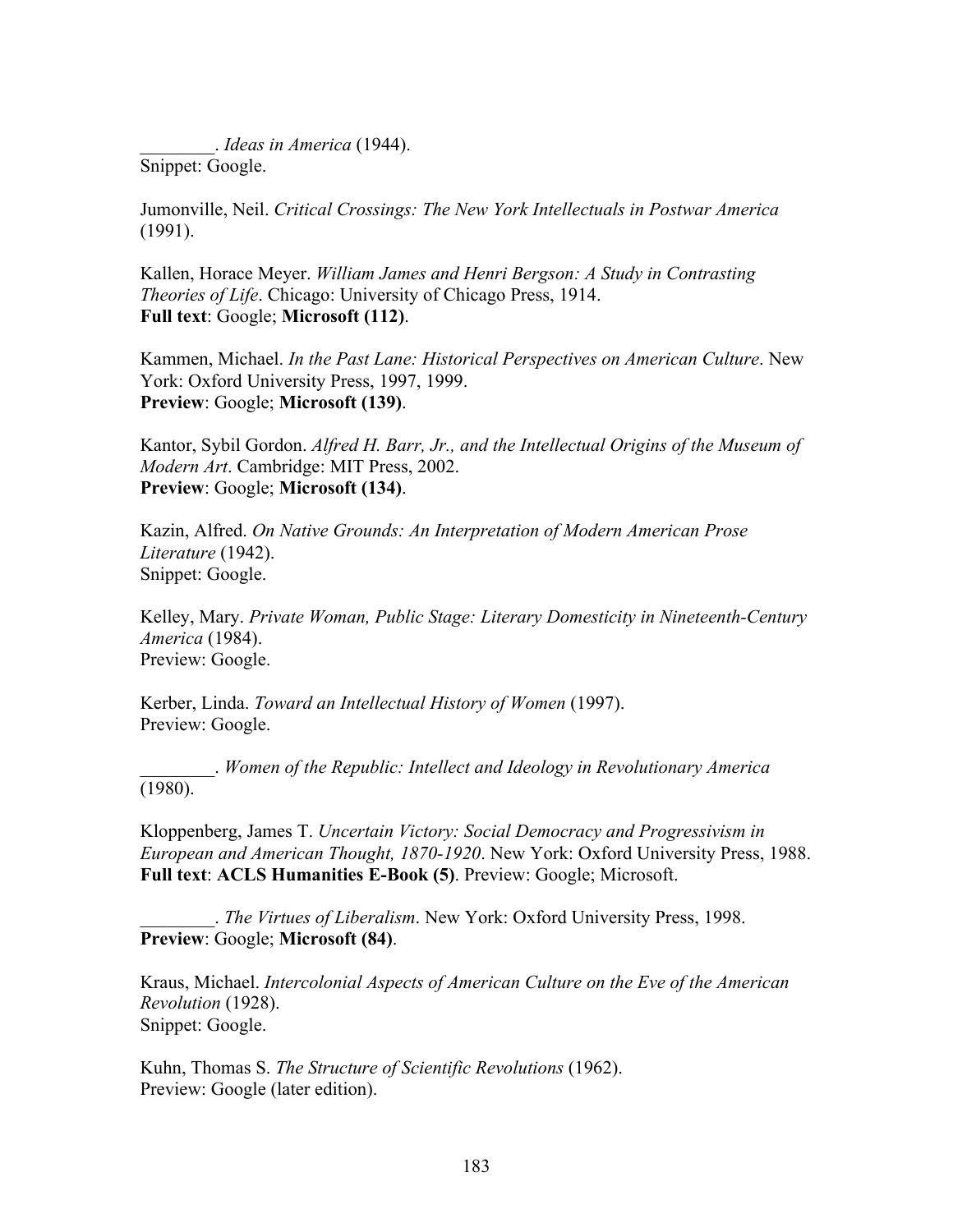\_\_\_\_\_\_\_\_. *Ideas in America* (1944). Snippet: Google.

Jumonville, Neil. *Critical Crossings: The New York Intellectuals in Postwar America* (1991).

Kallen, Horace Meyer. *William James and Henri Bergson: A Study in Contrasting Theories of Life*. Chicago: University of Chicago Press, 1914. **Full text**: Google; **Microsoft (112)**.

Kammen, Michael. *In the Past Lane: Historical Perspectives on American Culture*. New York: Oxford University Press, 1997, 1999. **Preview**: Google; **Microsoft (139)**.

Kantor, Sybil Gordon. *Alfred H. Barr, Jr., and the Intellectual Origins of the Museum of Modern Art*. Cambridge: MIT Press, 2002. **Preview**: Google; **Microsoft (134)**.

Kazin, Alfred. *On Native Grounds: An Interpretation of Modern American Prose Literature* (1942). Snippet: Google.

Kelley, Mary. *Private Woman, Public Stage: Literary Domesticity in Nineteenth-Century America* (1984). Preview: Google.

Kerber, Linda. *Toward an Intellectual History of Women* (1997). Preview: Google.

\_\_\_\_\_\_\_\_. *Women of the Republic: Intellect and Ideology in Revolutionary America*  $(1980)$ .

Kloppenberg, James T. *Uncertain Victory: Social Democracy and Progressivism in European and American Thought, 1870-1920*. New York: Oxford University Press, 1988. **Full text**: **ACLS Humanities E-Book (5)**. Preview: Google; Microsoft.

\_\_\_\_\_\_\_\_. *The Virtues of Liberalism*. New York: Oxford University Press, 1998. **Preview**: Google; **Microsoft (84)**.

Kraus, Michael. *Intercolonial Aspects of American Culture on the Eve of the American Revolution* (1928). Snippet: Google.

Kuhn, Thomas S. *The Structure of Scientific Revolutions* (1962). Preview: Google (later edition).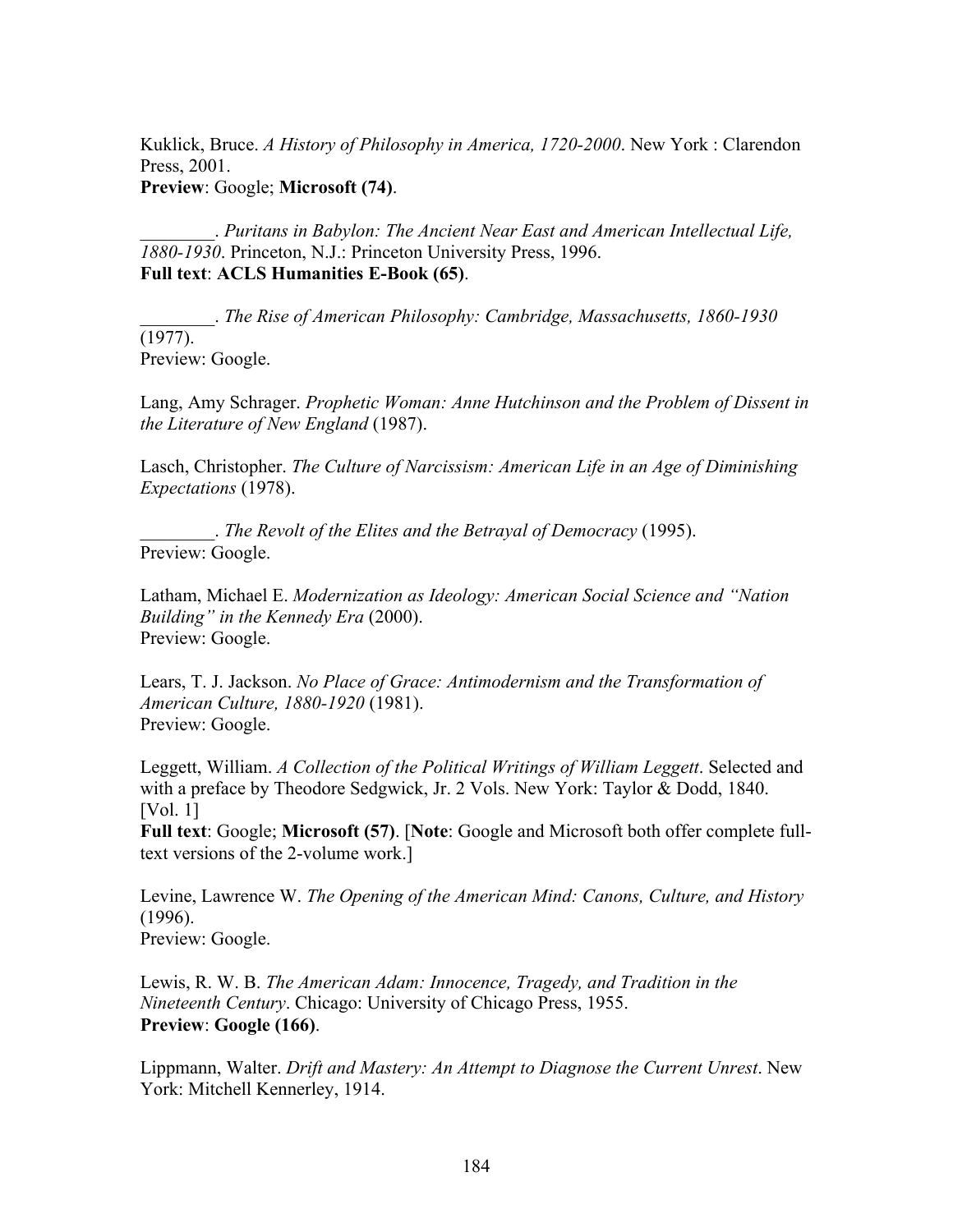Kuklick, Bruce. *A History of Philosophy in America, 1720-2000*. New York : Clarendon Press, 2001.

**Preview**: Google; **Microsoft (74)**.

\_\_\_\_\_\_\_\_. *Puritans in Babylon: The Ancient Near East and American Intellectual Life, 1880-1930*. Princeton, N.J.: Princeton University Press, 1996. **Full text**: **ACLS Humanities E-Book (65)**.

\_\_\_\_\_\_\_\_. *The Rise of American Philosophy: Cambridge, Massachusetts, 1860-1930* (1977). Preview: Google.

Lang, Amy Schrager. *Prophetic Woman: Anne Hutchinson and the Problem of Dissent in the Literature of New England* (1987).

Lasch, Christopher. *The Culture of Narcissism: American Life in an Age of Diminishing Expectations* (1978).

\_\_\_\_\_\_\_\_. *The Revolt of the Elites and the Betrayal of Democracy* (1995). Preview: Google.

Latham, Michael E. *Modernization as Ideology: American Social Science and "Nation Building" in the Kennedy Era* (2000). Preview: Google.

Lears, T. J. Jackson. *No Place of Grace: Antimodernism and the Transformation of American Culture, 1880-1920* (1981). Preview: Google.

Leggett, William. *A Collection of the Political Writings of William Leggett*. Selected and with a preface by Theodore Sedgwick, Jr. 2 Vols. New York: Taylor & Dodd, 1840. [Vol. 1]

**Full text**: Google; **Microsoft (57)**. [**Note**: Google and Microsoft both offer complete fulltext versions of the 2-volume work.]

Levine, Lawrence W. *The Opening of the American Mind: Canons, Culture, and History* (1996).

Preview: Google.

Lewis, R. W. B. *The American Adam: Innocence, Tragedy, and Tradition in the Nineteenth Century*. Chicago: University of Chicago Press, 1955. **Preview**: **Google (166)**.

Lippmann, Walter. *Drift and Mastery: An Attempt to Diagnose the Current Unrest*. New York: Mitchell Kennerley, 1914.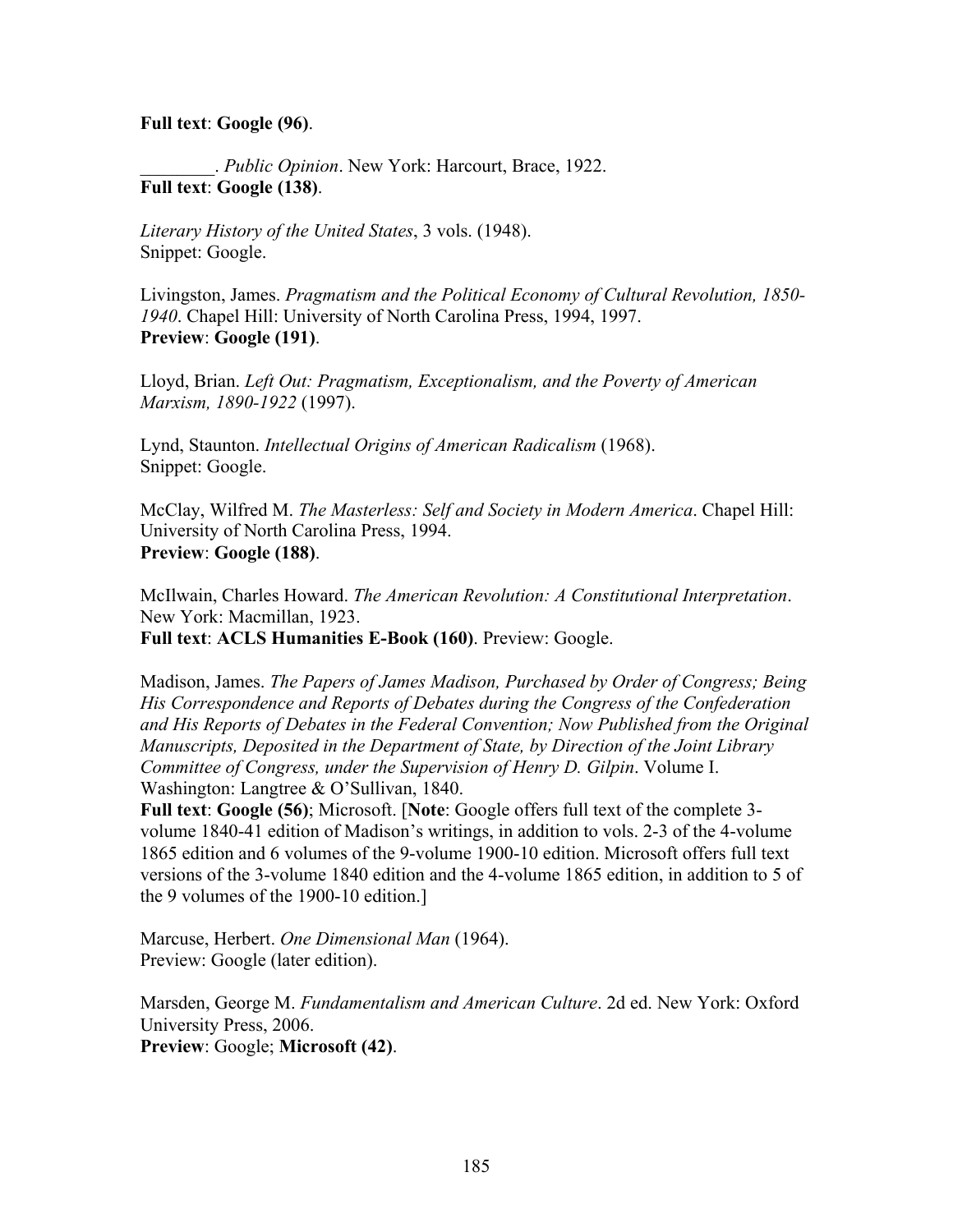## **Full text**: **Google (96)**.

\_\_\_\_\_\_\_\_. *Public Opinion*. New York: Harcourt, Brace, 1922. **Full text**: **Google (138)**.

*Literary History of the United States*, 3 vols. (1948). Snippet: Google.

Livingston, James. *Pragmatism and the Political Economy of Cultural Revolution, 1850- 1940*. Chapel Hill: University of North Carolina Press, 1994, 1997. **Preview**: **Google (191)**.

Lloyd, Brian. *Left Out: Pragmatism, Exceptionalism, and the Poverty of American Marxism, 1890-1922* (1997).

Lynd, Staunton. *Intellectual Origins of American Radicalism* (1968). Snippet: Google.

McClay, Wilfred M. *The Masterless: Self and Society in Modern America*. Chapel Hill: University of North Carolina Press, 1994. **Preview**: **Google (188)**.

McIlwain, Charles Howard. *The American Revolution: A Constitutional Interpretation*. New York: Macmillan, 1923.

**Full text**: **ACLS Humanities E-Book (160)**. Preview: Google.

Madison, James. *The Papers of James Madison, Purchased by Order of Congress; Being His Correspondence and Reports of Debates during the Congress of the Confederation and His Reports of Debates in the Federal Convention; Now Published from the Original Manuscripts, Deposited in the Department of State, by Direction of the Joint Library Committee of Congress, under the Supervision of Henry D. Gilpin*. Volume I. Washington: Langtree & O'Sullivan, 1840.

**Full text**: **Google (56)**; Microsoft. [**Note**: Google offers full text of the complete 3 volume 1840-41 edition of Madison's writings, in addition to vols. 2-3 of the 4-volume 1865 edition and 6 volumes of the 9-volume 1900-10 edition. Microsoft offers full text versions of the 3-volume 1840 edition and the 4-volume 1865 edition, in addition to 5 of the 9 volumes of the 1900-10 edition.]

Marcuse, Herbert. *One Dimensional Man* (1964). Preview: Google (later edition).

Marsden, George M. *Fundamentalism and American Culture*. 2d ed. New York: Oxford University Press, 2006. **Preview**: Google; **Microsoft (42)**.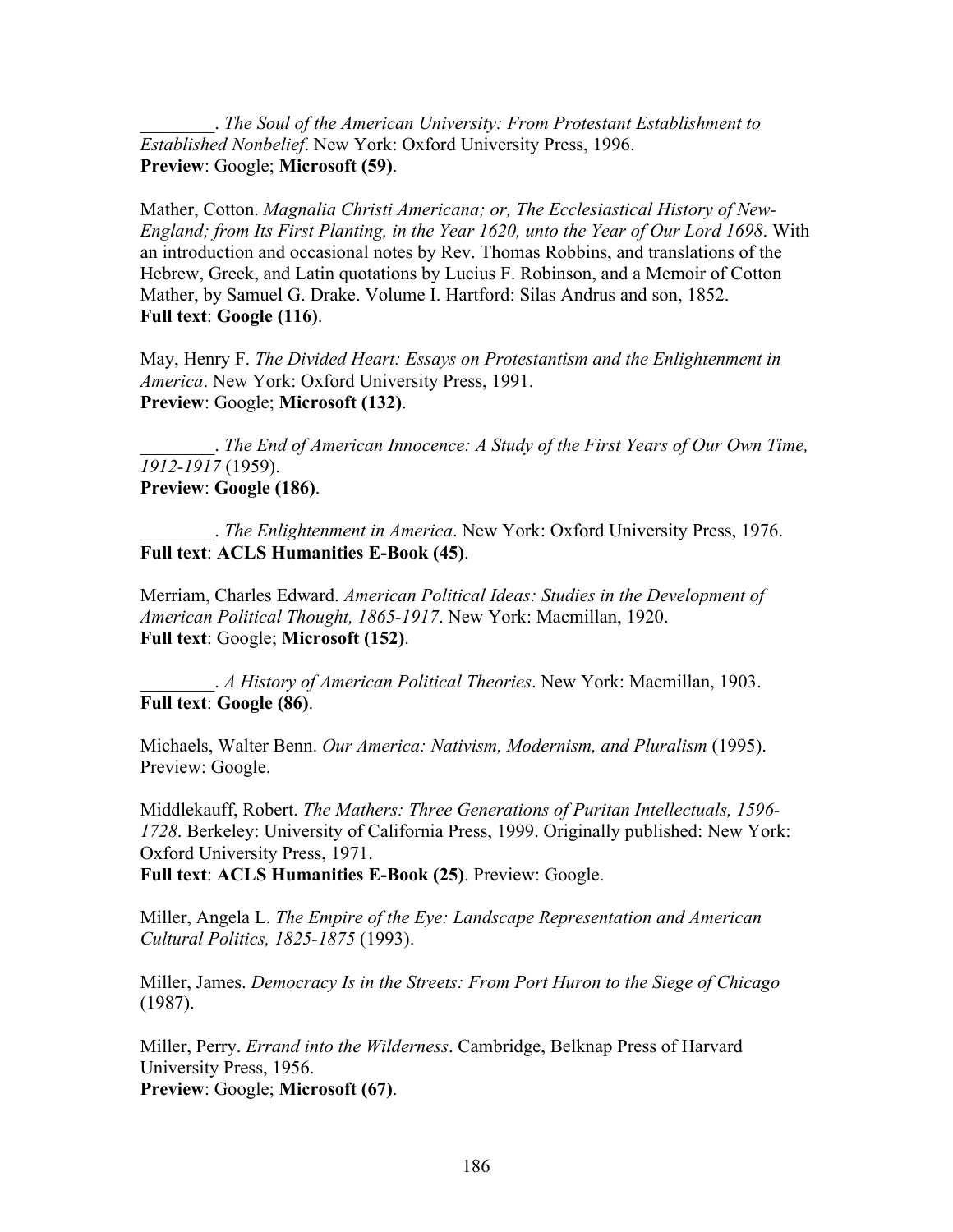\_\_\_\_\_\_\_\_. *The Soul of the American University: From Protestant Establishment to Established Nonbelief*. New York: Oxford University Press, 1996. **Preview**: Google; **Microsoft (59)**.

Mather, Cotton. *Magnalia Christi Americana; or, The Ecclesiastical History of New-England; from Its First Planting, in the Year 1620, unto the Year of Our Lord 1698*. With an introduction and occasional notes by Rev. Thomas Robbins, and translations of the Hebrew, Greek, and Latin quotations by Lucius F. Robinson, and a Memoir of Cotton Mather, by Samuel G. Drake. Volume I. Hartford: Silas Andrus and son, 1852. **Full text**: **Google (116)**.

May, Henry F. *The Divided Heart: Essays on Protestantism and the Enlightenment in America*. New York: Oxford University Press, 1991. **Preview**: Google; **Microsoft (132)**.

\_\_\_\_\_\_\_\_. *The End of American Innocence: A Study of the First Years of Our Own Time, 1912-1917* (1959). **Preview**: **Google (186)**.

\_\_\_\_\_\_\_\_. *The Enlightenment in America*. New York: Oxford University Press, 1976. **Full text**: **ACLS Humanities E-Book (45)**.

Merriam, Charles Edward. *American Political Ideas: Studies in the Development of American Political Thought, 1865-1917*. New York: Macmillan, 1920. **Full text**: Google; **Microsoft (152)**.

\_\_\_\_\_\_\_\_. *A History of American Political Theories*. New York: Macmillan, 1903. **Full text**: **Google (86)**.

Michaels, Walter Benn. *Our America: Nativism, Modernism, and Pluralism* (1995). Preview: Google.

Middlekauff, Robert. *The Mathers: Three Generations of Puritan Intellectuals, 1596- 1728*. Berkeley: University of California Press, 1999. Originally published: New York: Oxford University Press, 1971.

**Full text**: **ACLS Humanities E-Book (25)**. Preview: Google.

Miller, Angela L. *The Empire of the Eye: Landscape Representation and American Cultural Politics, 1825-1875* (1993).

Miller, James. *Democracy Is in the Streets: From Port Huron to the Siege of Chicago* (1987).

Miller, Perry. *Errand into the Wilderness*. Cambridge, Belknap Press of Harvard University Press, 1956. **Preview**: Google; **Microsoft (67)**.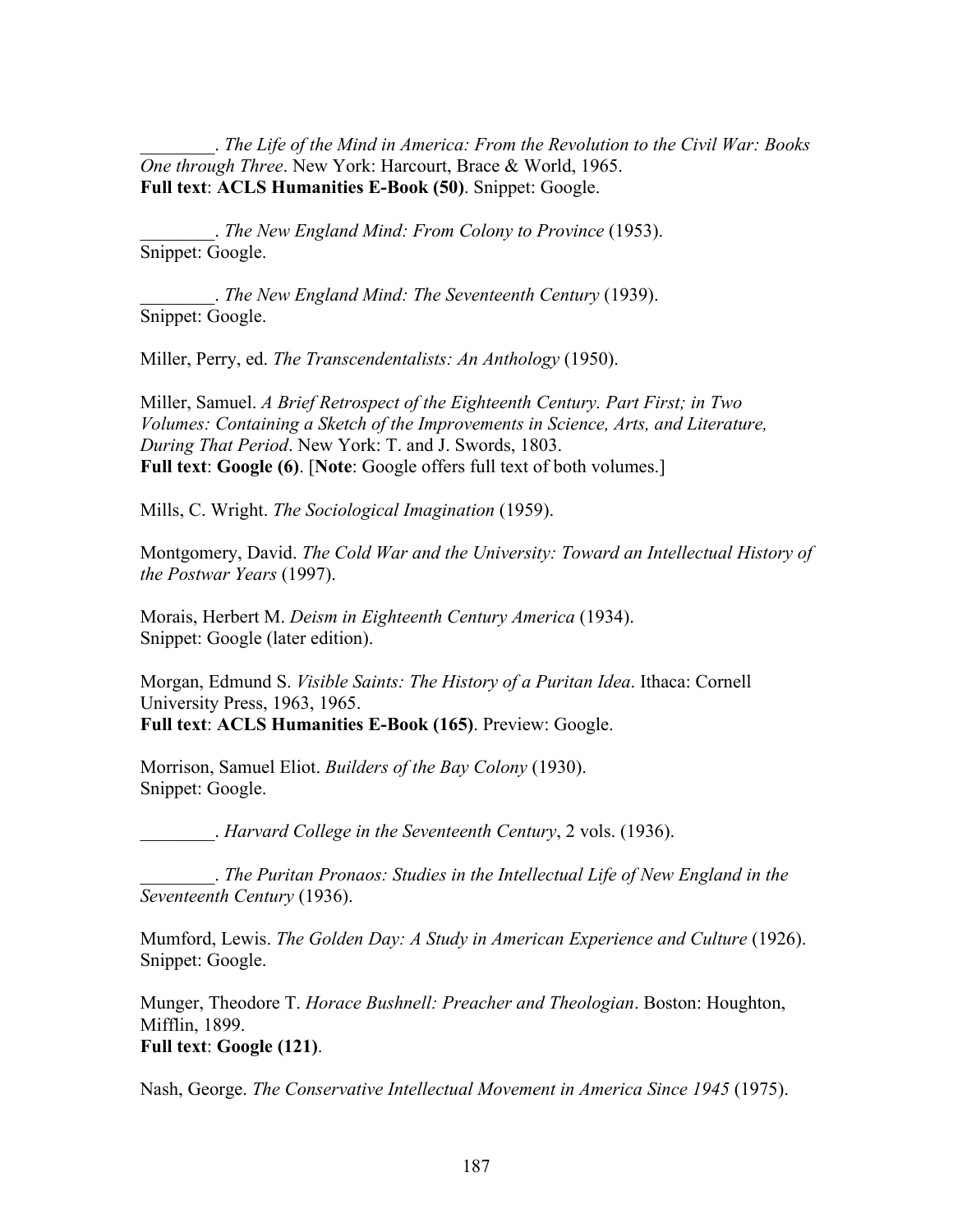\_\_\_\_\_\_\_\_. *The Life of the Mind in America: From the Revolution to the Civil War: Books One through Three*. New York: Harcourt, Brace & World, 1965. **Full text**: **ACLS Humanities E-Book (50)**. Snippet: Google.

\_\_\_\_\_\_\_\_. *The New England Mind: From Colony to Province* (1953). Snippet: Google.

\_\_\_\_\_\_\_\_. *The New England Mind: The Seventeenth Century* (1939). Snippet: Google.

Miller, Perry, ed. *The Transcendentalists: An Anthology* (1950).

Miller, Samuel. *A Brief Retrospect of the Eighteenth Century. Part First; in Two Volumes: Containing a Sketch of the Improvements in Science, Arts, and Literature, During That Period*. New York: T. and J. Swords, 1803. **Full text**: **Google (6)**. [**Note**: Google offers full text of both volumes.]

Mills, C. Wright. *The Sociological Imagination* (1959).

Montgomery, David. *The Cold War and the University: Toward an Intellectual History of the Postwar Years* (1997).

Morais, Herbert M. *Deism in Eighteenth Century America* (1934). Snippet: Google (later edition).

Morgan, Edmund S. *Visible Saints: The History of a Puritan Idea*. Ithaca: Cornell University Press, 1963, 1965. **Full text**: **ACLS Humanities E-Book (165)**. Preview: Google.

Morrison, Samuel Eliot. *Builders of the Bay Colony* (1930). Snippet: Google.

\_\_\_\_\_\_\_\_. *Harvard College in the Seventeenth Century*, 2 vols. (1936).

\_\_\_\_\_\_\_\_. *The Puritan Pronaos: Studies in the Intellectual Life of New England in the Seventeenth Century* (1936).

Mumford, Lewis. *The Golden Day: A Study in American Experience and Culture* (1926). Snippet: Google.

Munger, Theodore T. *Horace Bushnell: Preacher and Theologian*. Boston: Houghton, Mifflin, 1899. **Full text**: **Google (121)**.

Nash, George. *The Conservative Intellectual Movement in America Since 1945* (1975).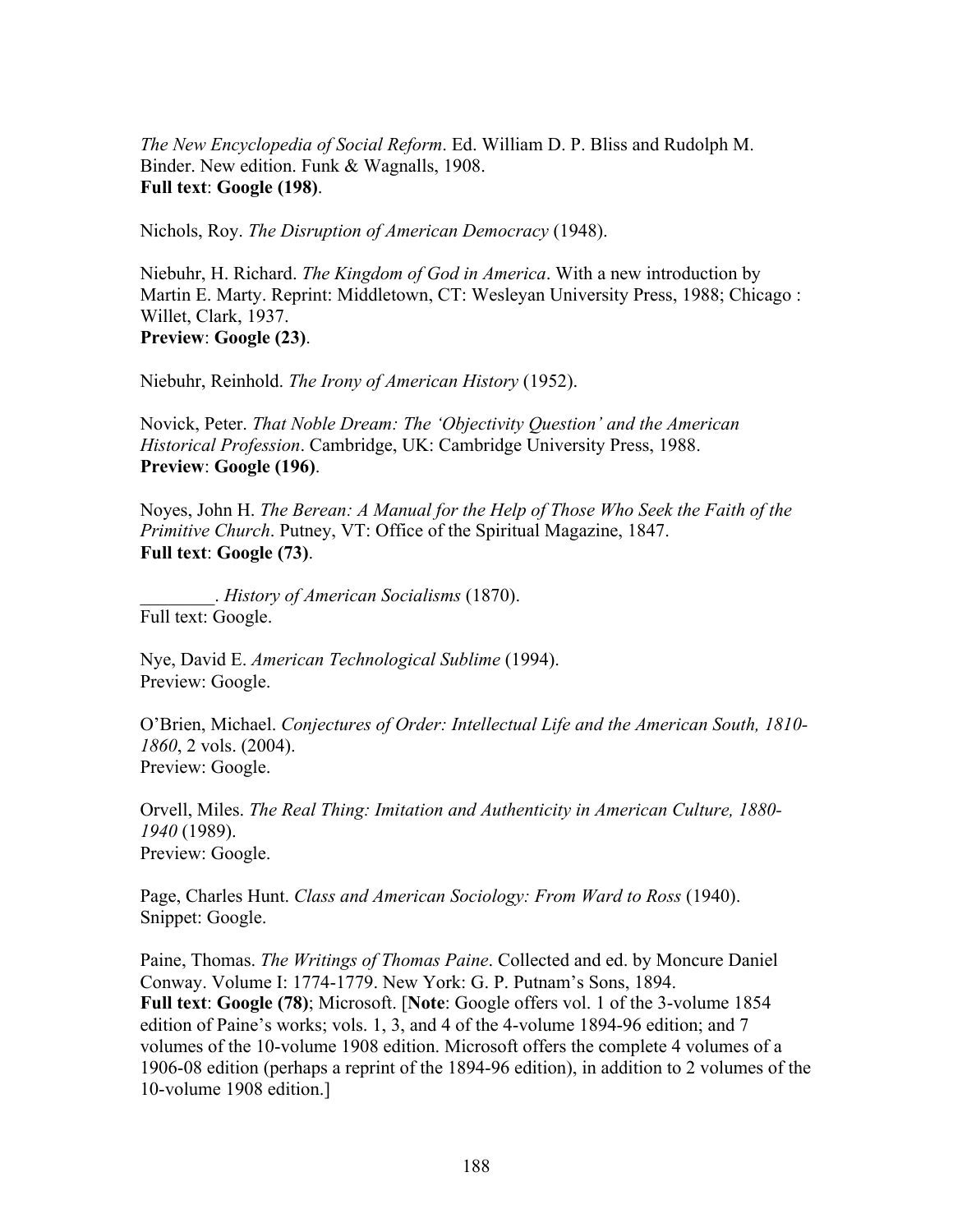*The New Encyclopedia of Social Reform*. Ed. William D. P. Bliss and Rudolph M. Binder. New edition. Funk & Wagnalls, 1908. **Full text**: **Google (198)**.

Nichols, Roy. *The Disruption of American Democracy* (1948).

Niebuhr, H. Richard. *The Kingdom of God in America*. With a new introduction by Martin E. Marty. Reprint: Middletown, CT: Wesleyan University Press, 1988; Chicago : Willet, Clark, 1937. **Preview**: **Google (23)**.

Niebuhr, Reinhold. *The Irony of American History* (1952).

Novick, Peter. *That Noble Dream: The 'Objectivity Question' and the American Historical Profession*. Cambridge, UK: Cambridge University Press, 1988. **Preview**: **Google (196)**.

Noyes, John H. *The Berean: A Manual for the Help of Those Who Seek the Faith of the Primitive Church*. Putney, VT: Office of the Spiritual Magazine, 1847. **Full text**: **Google (73)**.

\_\_\_\_\_\_\_\_. *History of American Socialisms* (1870). Full text: Google.

Nye, David E. *American Technological Sublime* (1994). Preview: Google.

O'Brien, Michael. *Conjectures of Order: Intellectual Life and the American South, 1810- 1860*, 2 vols. (2004). Preview: Google.

Orvell, Miles. *The Real Thing: Imitation and Authenticity in American Culture, 1880- 1940* (1989). Preview: Google.

Page, Charles Hunt. *Class and American Sociology: From Ward to Ross* (1940). Snippet: Google.

Paine, Thomas. *The Writings of Thomas Paine*. Collected and ed. by Moncure Daniel Conway. Volume I: 1774-1779. New York: G. P. Putnam's Sons, 1894. **Full text**: **Google (78)**; Microsoft. [**Note**: Google offers vol. 1 of the 3-volume 1854 edition of Paine's works; vols. 1, 3, and 4 of the 4-volume 1894-96 edition; and 7 volumes of the 10-volume 1908 edition. Microsoft offers the complete 4 volumes of a 1906-08 edition (perhaps a reprint of the 1894-96 edition), in addition to 2 volumes of the 10-volume 1908 edition.]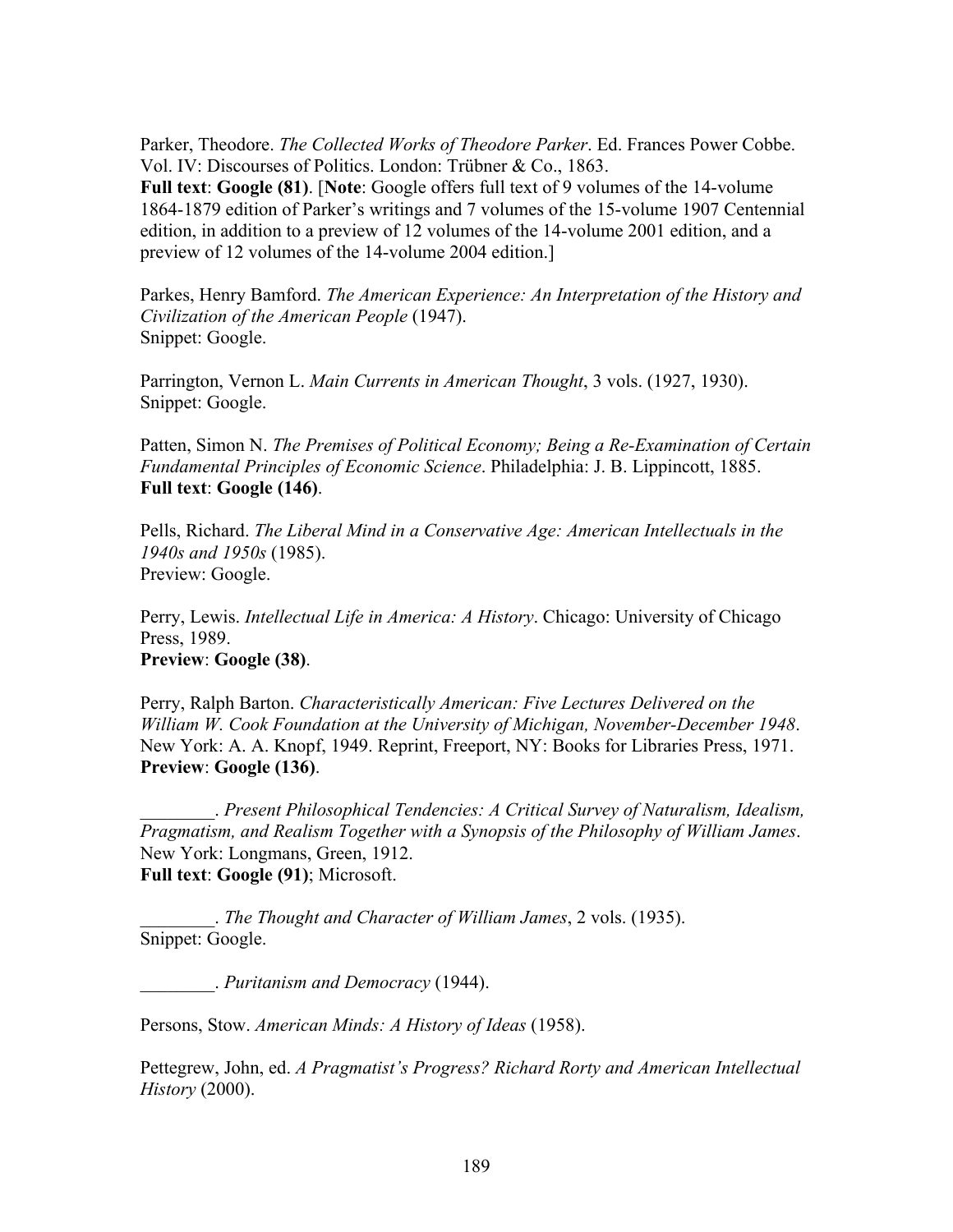Parker, Theodore. *The Collected Works of Theodore Parker*. Ed. Frances Power Cobbe. Vol. IV: Discourses of Politics. London: Trübner & Co., 1863.

**Full text**: **Google (81)**. [**Note**: Google offers full text of 9 volumes of the 14-volume 1864-1879 edition of Parker's writings and 7 volumes of the 15-volume 1907 Centennial edition, in addition to a preview of 12 volumes of the 14-volume 2001 edition, and a preview of 12 volumes of the 14-volume 2004 edition.]

Parkes, Henry Bamford. *The American Experience: An Interpretation of the History and Civilization of the American People* (1947). Snippet: Google.

Parrington, Vernon L. *Main Currents in American Thought*, 3 vols. (1927, 1930). Snippet: Google.

Patten, Simon N. *The Premises of Political Economy; Being a Re-Examination of Certain Fundamental Principles of Economic Science*. Philadelphia: J. B. Lippincott, 1885. **Full text**: **Google (146)**.

Pells, Richard. *The Liberal Mind in a Conservative Age: American Intellectuals in the 1940s and 1950s* (1985). Preview: Google.

Perry, Lewis. *Intellectual Life in America: A History*. Chicago: University of Chicago Press, 1989. **Preview**: **Google (38)**.

Perry, Ralph Barton. *Characteristically American: Five Lectures Delivered on the William W. Cook Foundation at the University of Michigan, November-December 1948*. New York: A. A. Knopf, 1949. Reprint, Freeport, NY: Books for Libraries Press, 1971. **Preview**: **Google (136)**.

\_\_\_\_\_\_\_\_. *Present Philosophical Tendencies: A Critical Survey of Naturalism, Idealism, Pragmatism, and Realism Together with a Synopsis of the Philosophy of William James*. New York: Longmans, Green, 1912. **Full text**: **Google (91)**; Microsoft.

\_\_\_\_\_\_\_\_. *The Thought and Character of William James*, 2 vols. (1935). Snippet: Google.

\_\_\_\_\_\_\_\_. *Puritanism and Democracy* (1944).

Persons, Stow. *American Minds: A History of Ideas* (1958).

Pettegrew, John, ed. *A Pragmatist's Progress? Richard Rorty and American Intellectual History* (2000).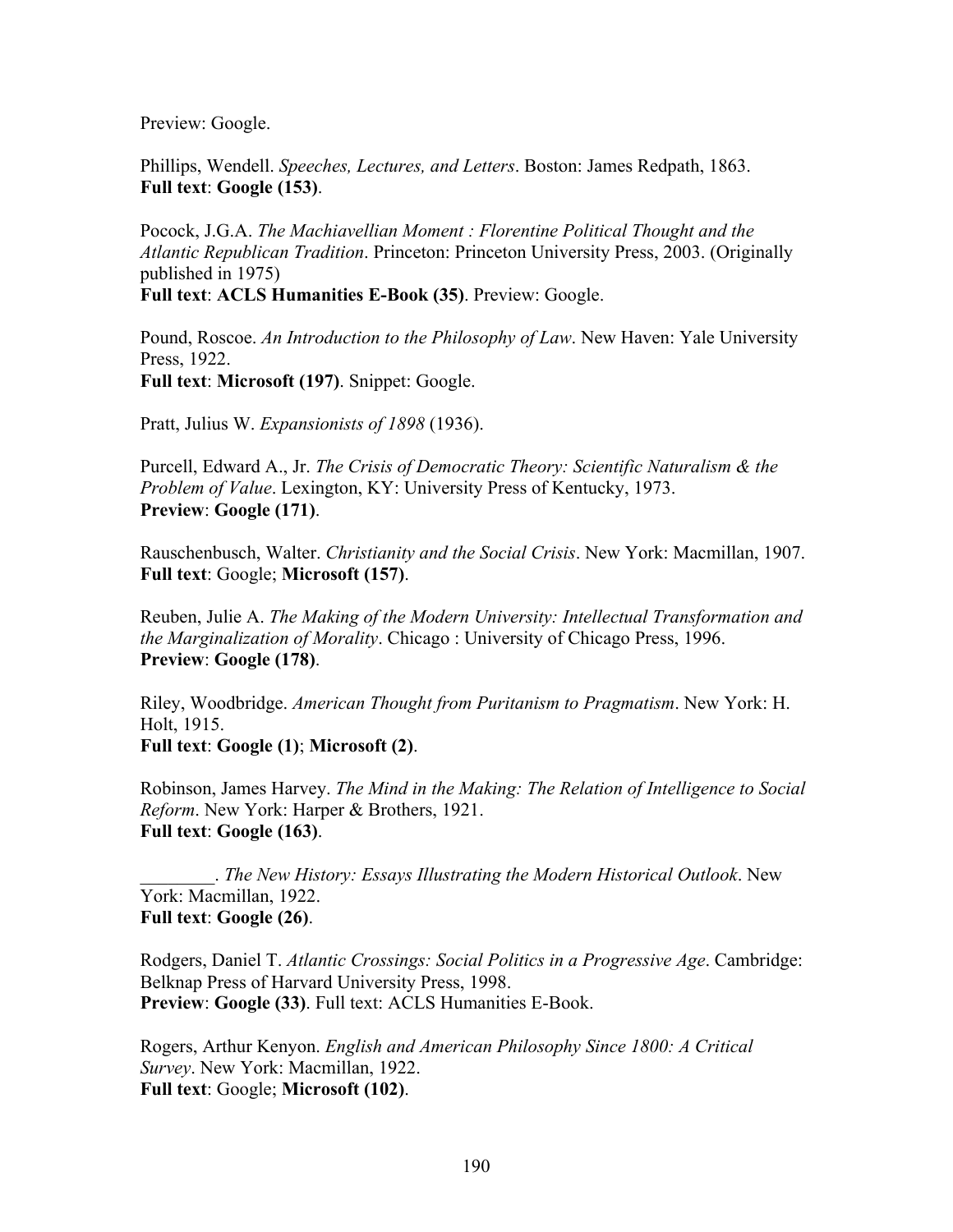Preview: Google.

Phillips, Wendell. *Speeches, Lectures, and Letters*. Boston: James Redpath, 1863. **Full text**: **Google (153)**.

Pocock, J.G.A. *The Machiavellian Moment : Florentine Political Thought and the Atlantic Republican Tradition*. Princeton: Princeton University Press, 2003. (Originally published in 1975)

**Full text**: **ACLS Humanities E-Book (35)**. Preview: Google.

Pound, Roscoe. *An Introduction to the Philosophy of Law*. New Haven: Yale University Press, 1922. **Full text**: **Microsoft (197)**. Snippet: Google.

Pratt, Julius W. *Expansionists of 1898* (1936).

Purcell, Edward A., Jr. *The Crisis of Democratic Theory: Scientific Naturalism & the Problem of Value*. Lexington, KY: University Press of Kentucky, 1973. **Preview**: **Google (171)**.

Rauschenbusch, Walter. *Christianity and the Social Crisis*. New York: Macmillan, 1907. **Full text**: Google; **Microsoft (157)**.

Reuben, Julie A. *The Making of the Modern University: Intellectual Transformation and the Marginalization of Morality*. Chicago : University of Chicago Press, 1996. **Preview**: **Google (178)**.

Riley, Woodbridge. *American Thought from Puritanism to Pragmatism*. New York: H. Holt, 1915.

**Full text**: **Google (1)**; **Microsoft (2)**.

Robinson, James Harvey. *The Mind in the Making: The Relation of Intelligence to Social Reform*. New York: Harper & Brothers, 1921. **Full text**: **Google (163)**.

\_\_\_\_\_\_\_\_. *The New History: Essays Illustrating the Modern Historical Outlook*. New York: Macmillan, 1922. **Full text**: **Google (26)**.

Rodgers, Daniel T. *Atlantic Crossings: Social Politics in a Progressive Age*. Cambridge: Belknap Press of Harvard University Press, 1998. **Preview**: **Google (33)**. Full text: ACLS Humanities E-Book.

Rogers, Arthur Kenyon. *English and American Philosophy Since 1800: A Critical Survey*. New York: Macmillan, 1922. **Full text**: Google; **Microsoft (102)**.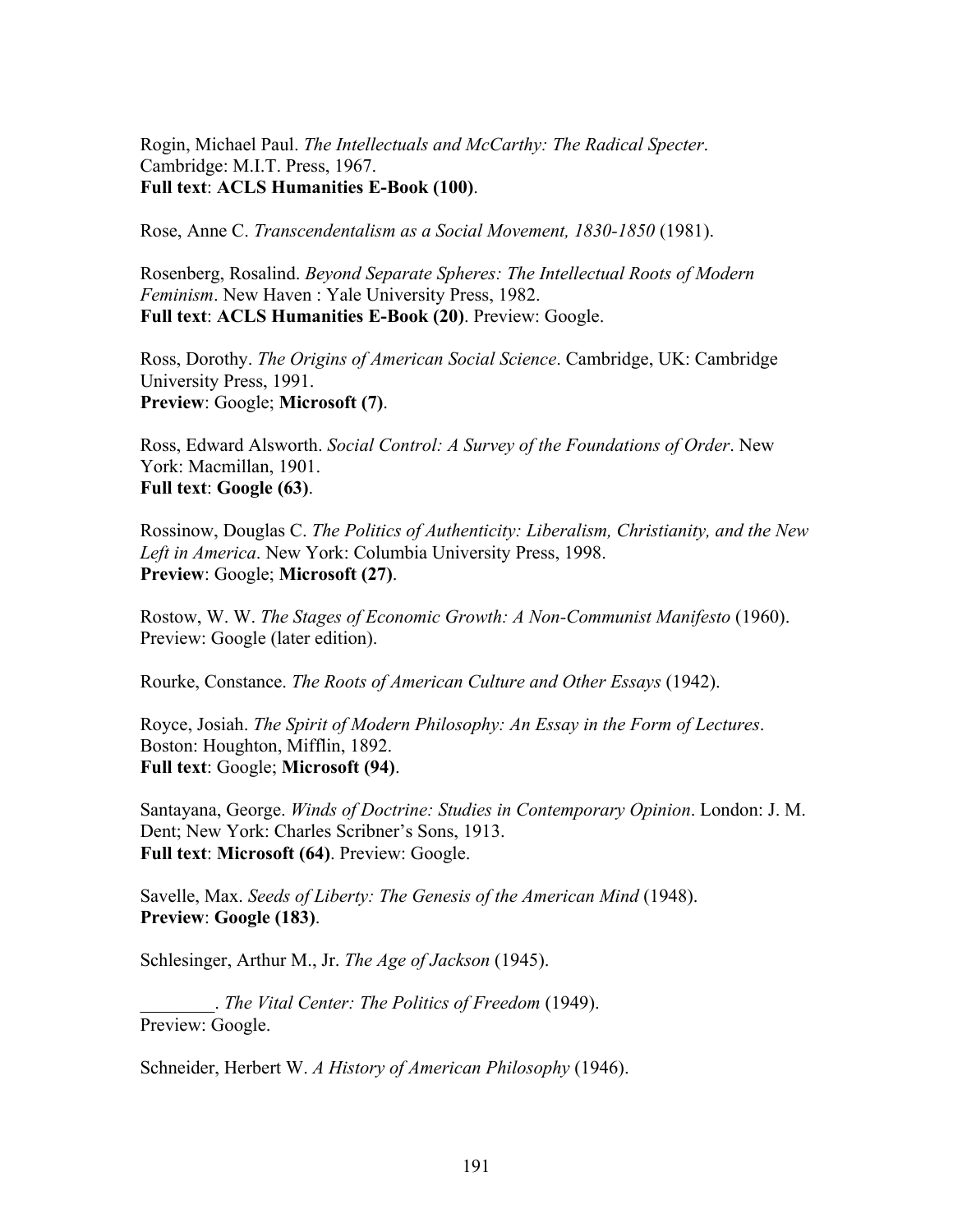Rogin, Michael Paul. *The Intellectuals and McCarthy: The Radical Specter*. Cambridge: M.I.T. Press, 1967. **Full text**: **ACLS Humanities E-Book (100)**.

Rose, Anne C. *Transcendentalism as a Social Movement, 1830-1850* (1981).

Rosenberg, Rosalind. *Beyond Separate Spheres: The Intellectual Roots of Modern Feminism*. New Haven : Yale University Press, 1982. **Full text**: **ACLS Humanities E-Book (20)**. Preview: Google.

Ross, Dorothy. *The Origins of American Social Science*. Cambridge, UK: Cambridge University Press, 1991. **Preview**: Google; **Microsoft (7)**.

Ross, Edward Alsworth. *Social Control: A Survey of the Foundations of Order*. New York: Macmillan, 1901. **Full text**: **Google (63)**.

Rossinow, Douglas C. *The Politics of Authenticity: Liberalism, Christianity, and the New Left in America*. New York: Columbia University Press, 1998. **Preview**: Google; **Microsoft (27)**.

Rostow, W. W. *The Stages of Economic Growth: A Non-Communist Manifesto* (1960). Preview: Google (later edition).

Rourke, Constance. *The Roots of American Culture and Other Essays* (1942).

Royce, Josiah. *The Spirit of Modern Philosophy: An Essay in the Form of Lectures*. Boston: Houghton, Mifflin, 1892. **Full text**: Google; **Microsoft (94)**.

Santayana, George. *Winds of Doctrine: Studies in Contemporary Opinion*. London: J. M. Dent; New York: Charles Scribner's Sons, 1913. **Full text**: **Microsoft (64)**. Preview: Google.

Savelle, Max. *Seeds of Liberty: The Genesis of the American Mind* (1948). **Preview**: **Google (183)**.

Schlesinger, Arthur M., Jr. *The Age of Jackson* (1945).

\_\_\_\_\_\_\_\_. *The Vital Center: The Politics of Freedom* (1949). Preview: Google.

Schneider, Herbert W. *A History of American Philosophy* (1946).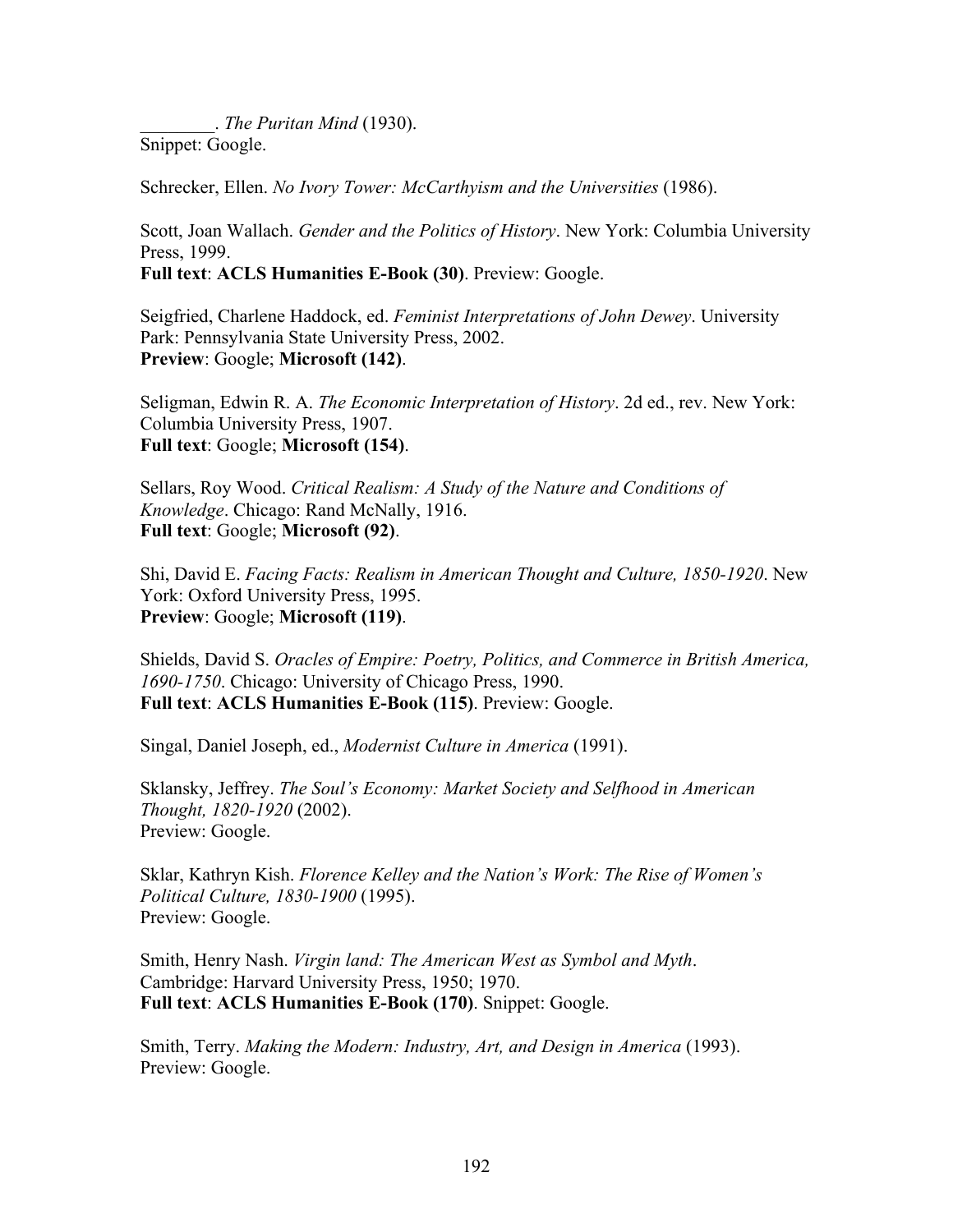\_\_\_\_\_\_\_\_. *The Puritan Mind* (1930). Snippet: Google.

Schrecker, Ellen. *No Ivory Tower: McCarthyism and the Universities* (1986).

Scott, Joan Wallach. *Gender and the Politics of History*. New York: Columbia University Press, 1999.

**Full text**: **ACLS Humanities E-Book (30)**. Preview: Google.

Seigfried, Charlene Haddock, ed. *Feminist Interpretations of John Dewey*. University Park: Pennsylvania State University Press, 2002. **Preview**: Google; **Microsoft (142)**.

Seligman, Edwin R. A. *The Economic Interpretation of History*. 2d ed., rev. New York: Columbia University Press, 1907. **Full text**: Google; **Microsoft (154)**.

Sellars, Roy Wood. *Critical Realism: A Study of the Nature and Conditions of Knowledge*. Chicago: Rand McNally, 1916. **Full text**: Google; **Microsoft (92)**.

Shi, David E. *Facing Facts: Realism in American Thought and Culture, 1850-1920*. New York: Oxford University Press, 1995. **Preview**: Google; **Microsoft (119)**.

Shields, David S. *Oracles of Empire: Poetry, Politics, and Commerce in British America, 1690-1750*. Chicago: University of Chicago Press, 1990. **Full text**: **ACLS Humanities E-Book (115)**. Preview: Google.

Singal, Daniel Joseph, ed., *Modernist Culture in America* (1991).

Sklansky, Jeffrey. *The Soul's Economy: Market Society and Selfhood in American Thought, 1820-1920* (2002). Preview: Google.

Sklar, Kathryn Kish. *Florence Kelley and the Nation's Work: The Rise of Women's Political Culture, 1830-1900* (1995). Preview: Google.

Smith, Henry Nash. *Virgin land: The American West as Symbol and Myth*. Cambridge: Harvard University Press, 1950; 1970. **Full text**: **ACLS Humanities E-Book (170)**. Snippet: Google.

Smith, Terry. *Making the Modern: Industry, Art, and Design in America* (1993). Preview: Google.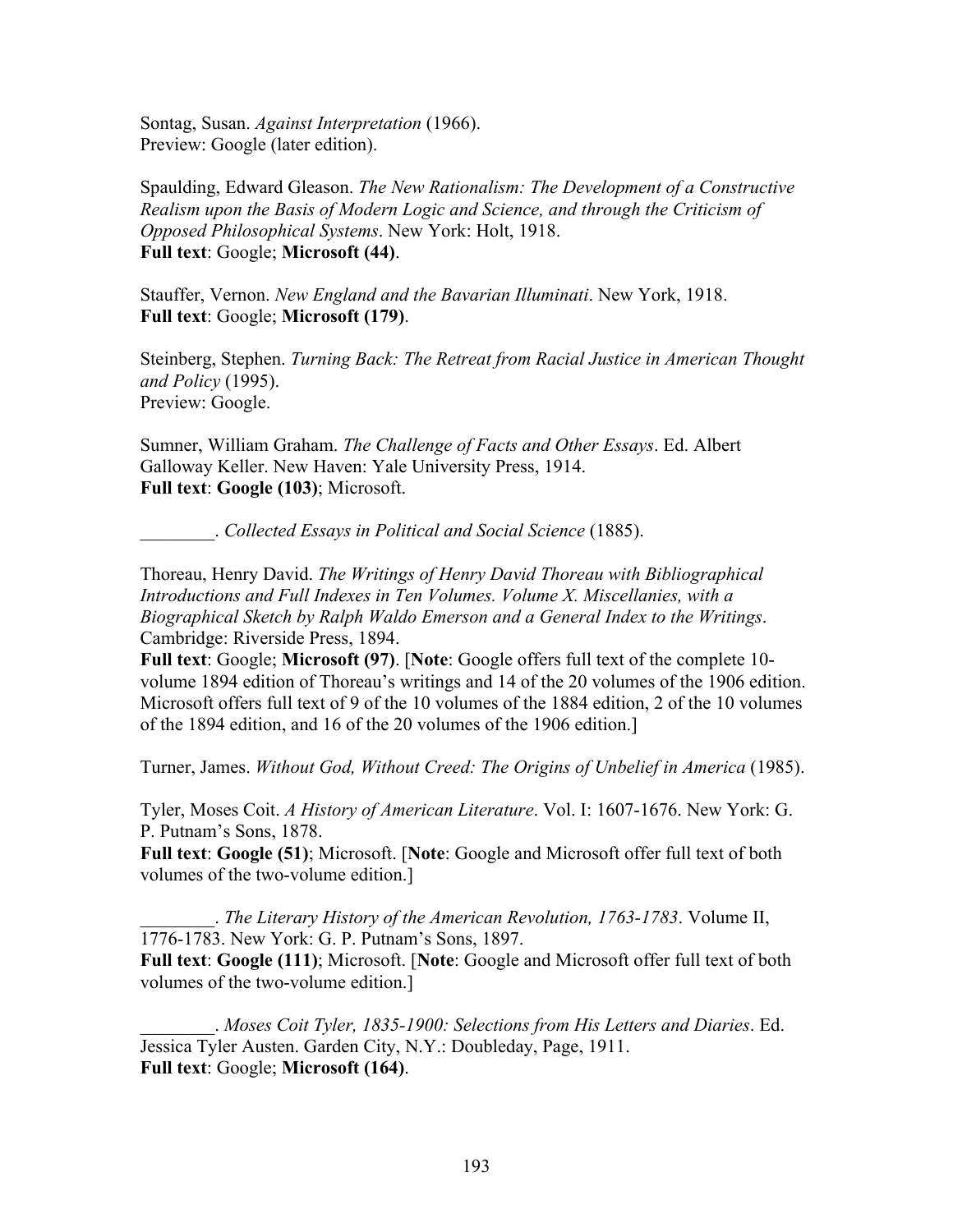Sontag, Susan. *Against Interpretation* (1966). Preview: Google (later edition).

Spaulding, Edward Gleason. *The New Rationalism: The Development of a Constructive Realism upon the Basis of Modern Logic and Science, and through the Criticism of Opposed Philosophical Systems*. New York: Holt, 1918. **Full text**: Google; **Microsoft (44)**.

Stauffer, Vernon. *New England and the Bavarian Illuminati*. New York, 1918. **Full text**: Google; **Microsoft (179)**.

Steinberg, Stephen. *Turning Back: The Retreat from Racial Justice in American Thought and Policy* (1995). Preview: Google.

Sumner, William Graham. *The Challenge of Facts and Other Essays*. Ed. Albert Galloway Keller. New Haven: Yale University Press, 1914. **Full text**: **Google (103)**; Microsoft.

\_\_\_\_\_\_\_\_. *Collected Essays in Political and Social Science* (1885).

Thoreau, Henry David. *The Writings of Henry David Thoreau with Bibliographical Introductions and Full Indexes in Ten Volumes. Volume X. Miscellanies, with a Biographical Sketch by Ralph Waldo Emerson and a General Index to the Writings*. Cambridge: Riverside Press, 1894.

**Full text**: Google; **Microsoft (97)**. [**Note**: Google offers full text of the complete 10 volume 1894 edition of Thoreau's writings and 14 of the 20 volumes of the 1906 edition. Microsoft offers full text of 9 of the 10 volumes of the 1884 edition, 2 of the 10 volumes of the 1894 edition, and 16 of the 20 volumes of the 1906 edition.]

Turner, James. *Without God, Without Creed: The Origins of Unbelief in America* (1985).

Tyler, Moses Coit. *A History of American Literature*. Vol. I: 1607-1676. New York: G. P. Putnam's Sons, 1878.

**Full text**: **Google (51)**; Microsoft. [**Note**: Google and Microsoft offer full text of both volumes of the two-volume edition.]

\_\_\_\_\_\_\_\_. *The Literary History of the American Revolution, 1763-1783*. Volume II, 1776-1783. New York: G. P. Putnam's Sons, 1897. **Full text**: **Google (111)**; Microsoft. [**Note**: Google and Microsoft offer full text of both

volumes of the two-volume edition.]

\_\_\_\_\_\_\_\_. *Moses Coit Tyler, 1835-1900: Selections from His Letters and Diaries*. Ed. Jessica Tyler Austen. Garden City, N.Y.: Doubleday, Page, 1911. **Full text**: Google; **Microsoft (164)**.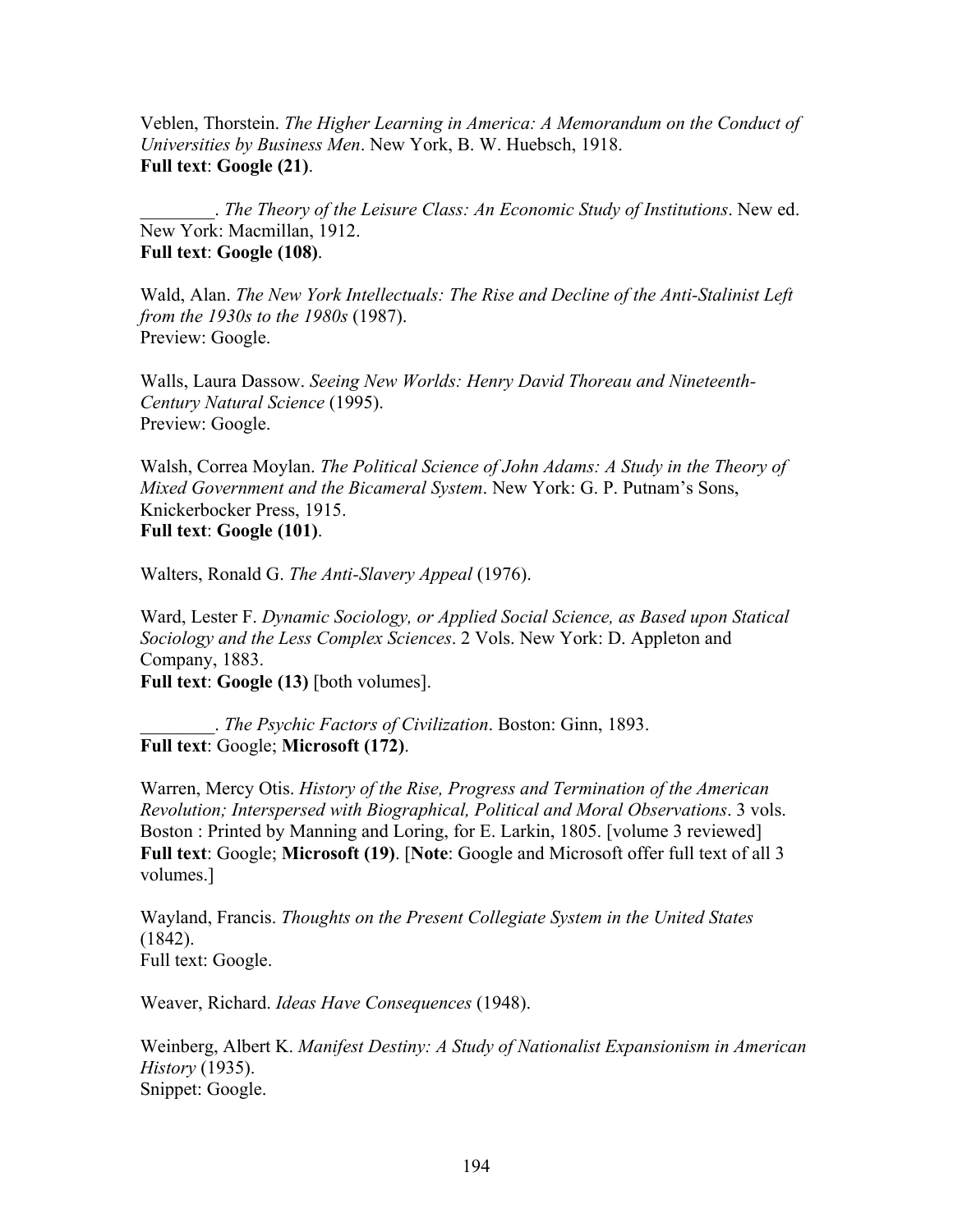Veblen, Thorstein. *The Higher Learning in America: A Memorandum on the Conduct of Universities by Business Men*. New York, B. W. Huebsch, 1918. **Full text**: **Google (21)**.

\_\_\_\_\_\_\_\_. *The Theory of the Leisure Class: An Economic Study of Institutions*. New ed. New York: Macmillan, 1912. **Full text**: **Google (108)**.

Wald, Alan. *The New York Intellectuals: The Rise and Decline of the Anti-Stalinist Left from the 1930s to the 1980s* (1987). Preview: Google.

Walls, Laura Dassow. *Seeing New Worlds: Henry David Thoreau and Nineteenth-Century Natural Science* (1995). Preview: Google.

Walsh, Correa Moylan. *The Political Science of John Adams: A Study in the Theory of Mixed Government and the Bicameral System*. New York: G. P. Putnam's Sons, Knickerbocker Press, 1915. **Full text**: **Google (101)**.

Walters, Ronald G. *The Anti-Slavery Appeal* (1976).

Ward, Lester F. *Dynamic Sociology, or Applied Social Science, as Based upon Statical Sociology and the Less Complex Sciences*. 2 Vols. New York: D. Appleton and Company, 1883. **Full text**: **Google (13)** [both volumes].

\_\_\_\_\_\_\_\_. *The Psychic Factors of Civilization*. Boston: Ginn, 1893. **Full text**: Google; **Microsoft (172)**.

Warren, Mercy Otis. *History of the Rise, Progress and Termination of the American Revolution; Interspersed with Biographical, Political and Moral Observations*. 3 vols. Boston : Printed by Manning and Loring, for E. Larkin, 1805. [volume 3 reviewed] **Full text**: Google; **Microsoft (19)**. [**Note**: Google and Microsoft offer full text of all 3 volumes.]

Wayland, Francis. *Thoughts on the Present Collegiate System in the United States* (1842). Full text: Google.

Weaver, Richard. *Ideas Have Consequences* (1948).

Weinberg, Albert K. *Manifest Destiny: A Study of Nationalist Expansionism in American History* (1935). Snippet: Google.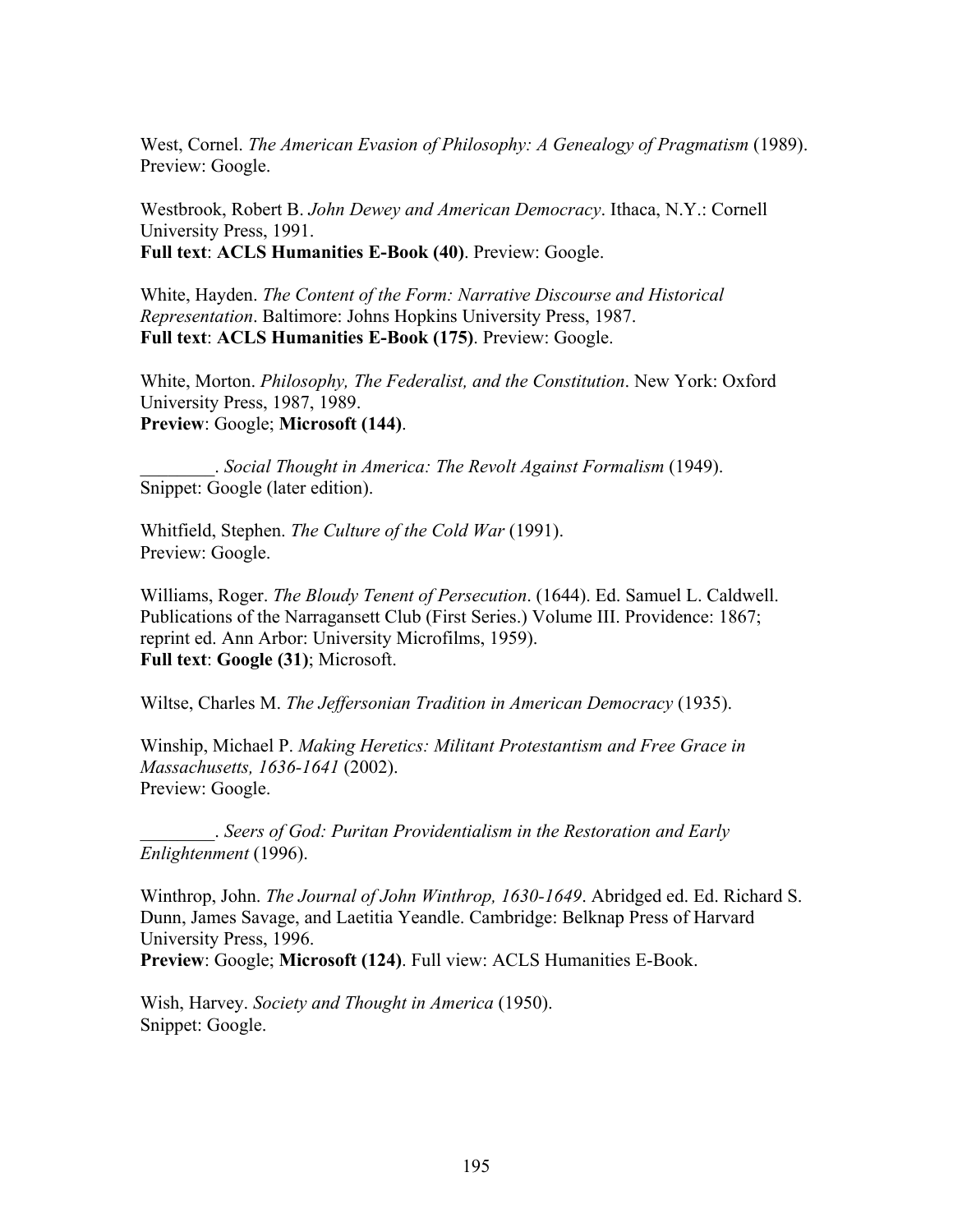West, Cornel. *The American Evasion of Philosophy: A Genealogy of Pragmatism* (1989). Preview: Google.

Westbrook, Robert B. *John Dewey and American Democracy*. Ithaca, N.Y.: Cornell University Press, 1991. **Full text**: **ACLS Humanities E-Book (40)**. Preview: Google.

White, Hayden. *The Content of the Form: Narrative Discourse and Historical Representation*. Baltimore: Johns Hopkins University Press, 1987. **Full text**: **ACLS Humanities E-Book (175)**. Preview: Google.

White, Morton. *Philosophy, The Federalist, and the Constitution*. New York: Oxford University Press, 1987, 1989. **Preview**: Google; **Microsoft (144)**.

\_\_\_\_\_\_\_\_. *Social Thought in America: The Revolt Against Formalism* (1949). Snippet: Google (later edition).

Whitfield, Stephen. *The Culture of the Cold War* (1991). Preview: Google.

Williams, Roger. *The Bloudy Tenent of Persecution*. (1644). Ed. Samuel L. Caldwell. Publications of the Narragansett Club (First Series.) Volume III. Providence: 1867; reprint ed. Ann Arbor: University Microfilms, 1959). **Full text**: **Google (31)**; Microsoft.

Wiltse, Charles M. *The Jeffersonian Tradition in American Democracy* (1935).

Winship, Michael P. *Making Heretics: Militant Protestantism and Free Grace in Massachusetts, 1636-1641* (2002). Preview: Google.

\_\_\_\_\_\_\_\_. *Seers of God: Puritan Providentialism in the Restoration and Early Enlightenment* (1996).

Winthrop, John. *The Journal of John Winthrop, 1630-1649*. Abridged ed. Ed. Richard S. Dunn, James Savage, and Laetitia Yeandle. Cambridge: Belknap Press of Harvard University Press, 1996.

**Preview**: Google; **Microsoft (124)**. Full view: ACLS Humanities E-Book.

Wish, Harvey. *Society and Thought in America* (1950). Snippet: Google.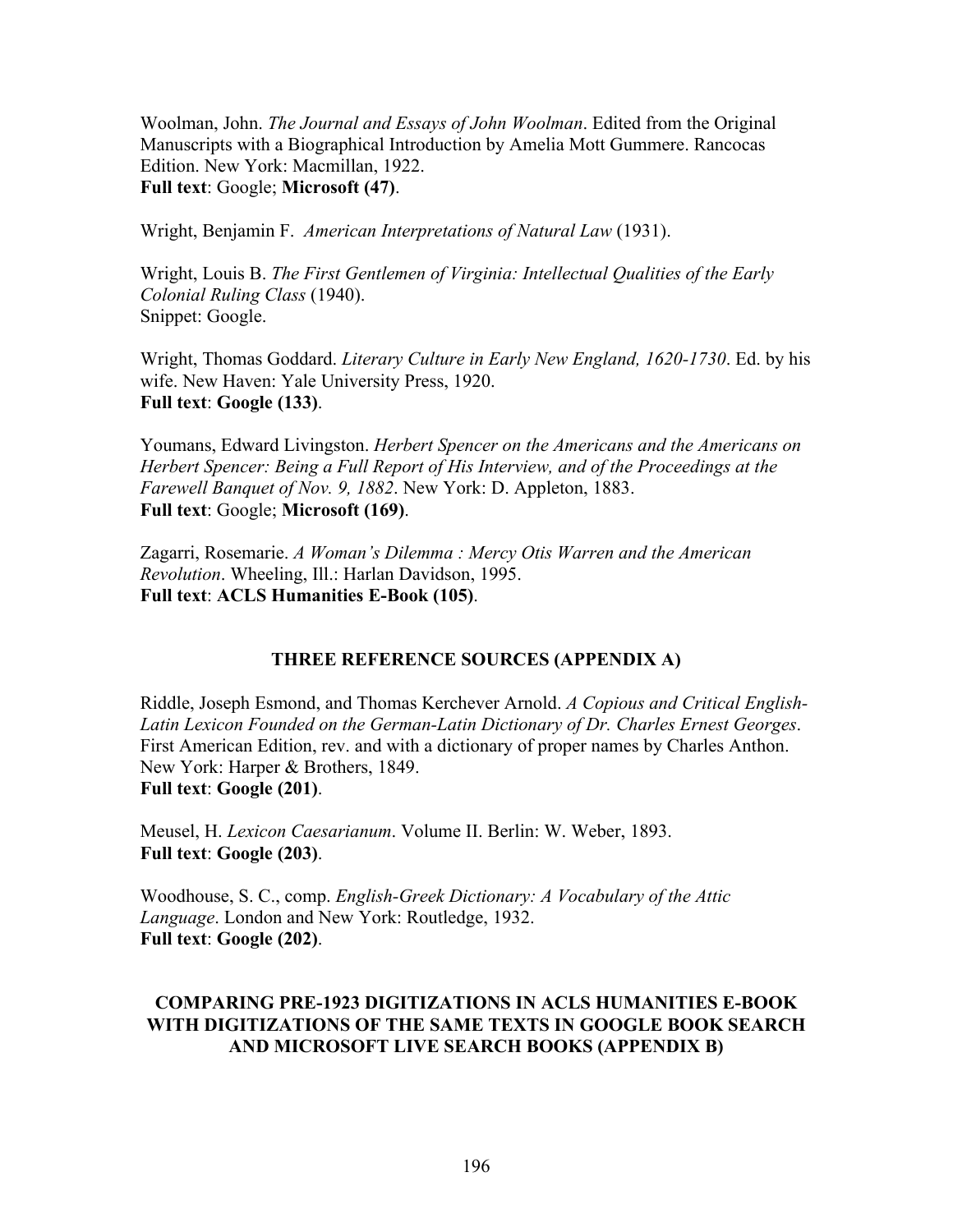Woolman, John. *The Journal and Essays of John Woolman*. Edited from the Original Manuscripts with a Biographical Introduction by Amelia Mott Gummere. Rancocas Edition. New York: Macmillan, 1922. **Full text**: Google; **Microsoft (47)**.

Wright, Benjamin F. *American Interpretations of Natural Law* (1931).

Wright, Louis B. *The First Gentlemen of Virginia: Intellectual Qualities of the Early Colonial Ruling Class* (1940). Snippet: Google.

Wright, Thomas Goddard. *Literary Culture in Early New England, 1620-1730*. Ed. by his wife. New Haven: Yale University Press, 1920. **Full text**: **Google (133)**.

Youmans, Edward Livingston. *Herbert Spencer on the Americans and the Americans on Herbert Spencer: Being a Full Report of His Interview, and of the Proceedings at the Farewell Banquet of Nov. 9, 1882*. New York: D. Appleton, 1883. **Full text**: Google; **Microsoft (169)**.

Zagarri, Rosemarie. *A Woman's Dilemma : Mercy Otis Warren and the American Revolution*. Wheeling, Ill.: Harlan Davidson, 1995. **Full text**: **ACLS Humanities E-Book (105)**.

## **THREE REFERENCE SOURCES (APPENDIX A)**

Riddle, Joseph Esmond, and Thomas Kerchever Arnold. *A Copious and Critical English-Latin Lexicon Founded on the German-Latin Dictionary of Dr. Charles Ernest Georges*. First American Edition, rev. and with a dictionary of proper names by Charles Anthon. New York: Harper & Brothers, 1849. **Full text**: **Google (201)**.

Meusel, H. *Lexicon Caesarianum*. Volume II. Berlin: W. Weber, 1893. **Full text**: **Google (203)**.

Woodhouse, S. C., comp. *English-Greek Dictionary: A Vocabulary of the Attic Language*. London and New York: Routledge, 1932. **Full text**: **Google (202)**.

# **COMPARING PRE-1923 DIGITIZATIONS IN ACLS HUMANITIES E-BOOK WITH DIGITIZATIONS OF THE SAME TEXTS IN GOOGLE BOOK SEARCH AND MICROSOFT LIVE SEARCH BOOKS (APPENDIX B)**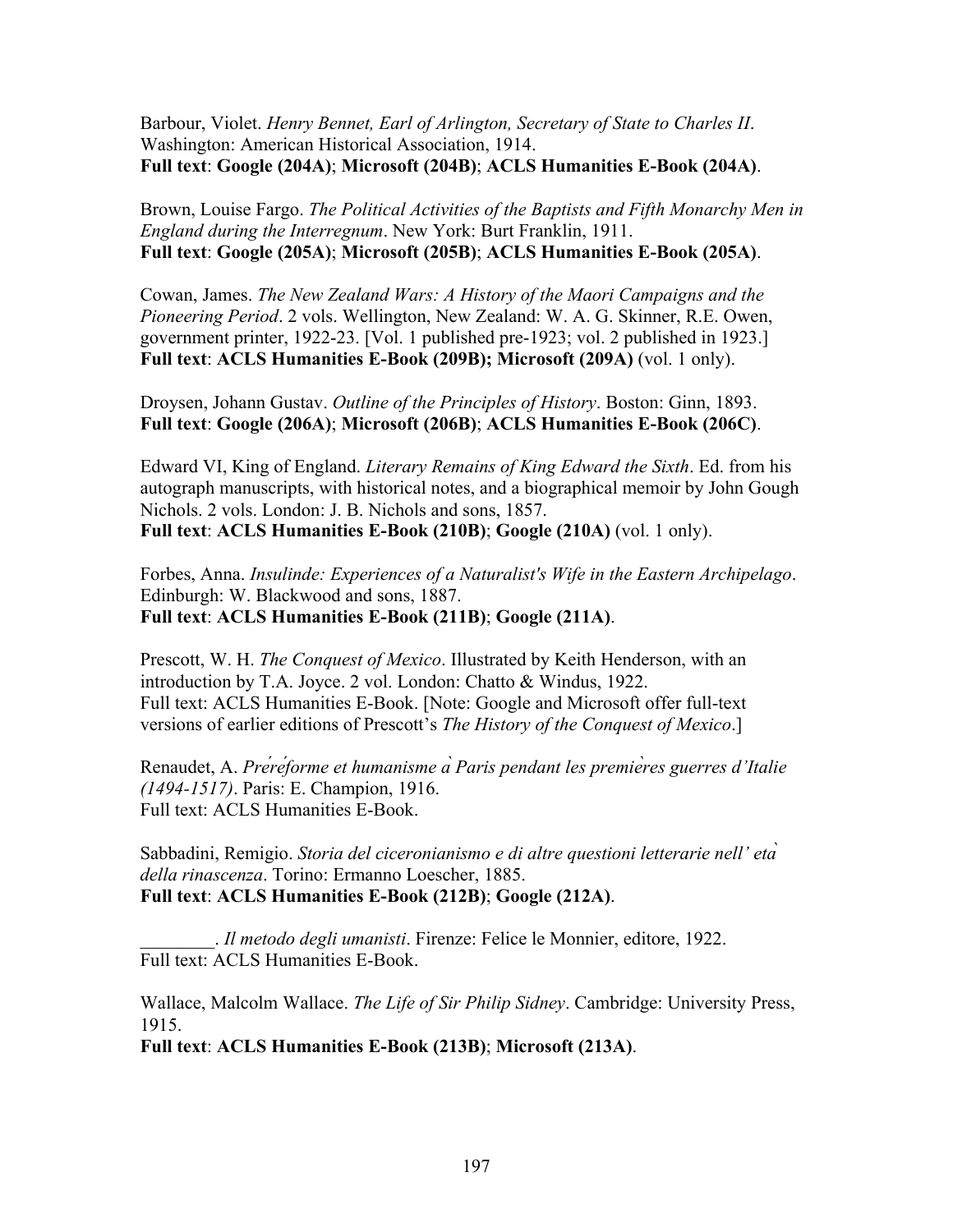Barbour, Violet. *Henry Bennet, Earl of Arlington, Secretary of State to Charles II*. Washington: American Historical Association, 1914. **Full text**: **Google (204A)**; **Microsoft (204B)**; **ACLS Humanities E-Book (204A)**.

Brown, Louise Fargo. *The Political Activities of the Baptists and Fifth Monarchy Men in England during the Interregnum*. New York: Burt Franklin, 1911. **Full text**: **Google (205A)**; **Microsoft (205B)**; **ACLS Humanities E-Book (205A)**.

Cowan, James. *The New Zealand Wars: A History of the Maori Campaigns and the Pioneering Period*. 2 vols. Wellington, New Zealand: W. A. G. Skinner, R.E. Owen, government printer, 1922-23. [Vol. 1 published pre-1923; vol. 2 published in 1923.] **Full text**: **ACLS Humanities E-Book (209B); Microsoft (209A)** (vol. 1 only).

Droysen, Johann Gustav. *Outline of the Principles of History*. Boston: Ginn, 1893. **Full text**: **Google (206A)**; **Microsoft (206B)**; **ACLS Humanities E-Book (206C)**.

Edward VI, King of England. *Literary Remains of King Edward the Sixth*. Ed. from his autograph manuscripts, with historical notes, and a biographical memoir by John Gough Nichols. 2 vols. London: J. B. Nichols and sons, 1857. **Full text**: **ACLS Humanities E-Book (210B)**; **Google (210A)** (vol. 1 only).

Forbes, Anna. *Insulinde: Experiences of a Naturalist's Wife in the Eastern Archipelago*. Edinburgh: W. Blackwood and sons, 1887. **Full text**: **ACLS Humanities E-Book (211B)**; **Google (211A)**.

Prescott, W. H. *The Conquest of Mexico*. Illustrated by Keith Henderson, with an introduction by T.A. Joyce. 2 vol. London: Chatto & Windus, 1922. Full text: ACLS Humanities E-Book. [Note: Google and Microsoft offer full-text versions of earlier editions of Prescott's *The History of the Conquest of Mexico*.]

Renaudet, A. *Préréforme et humanisme à Paris pendant les premières guerres d'Italie (1494-1517)*. Paris: E. Champion, 1916. Full text: ACLS Humanities E-Book.

Sabbadini, Remigio. *Storia del ciceronianismo e di altre questioni letterarie nell' età della rinascenza*. Torino: Ermanno Loescher, 1885. **Full text**: **ACLS Humanities E-Book (212B)**; **Google (212A)**.

\_\_\_\_\_\_\_\_. *Il metodo degli umanisti*. Firenze: Felice le Monnier, editore, 1922. Full text: ACLS Humanities E-Book.

Wallace, Malcolm Wallace. *The Life of Sir Philip Sidney*. Cambridge: University Press, 1915.

**Full text**: **ACLS Humanities E-Book (213B)**; **Microsoft (213A)**.